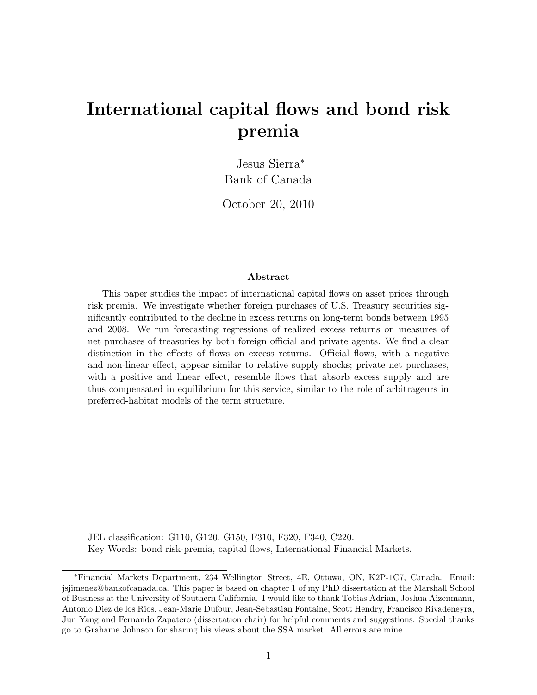## International capital flows and bond risk premia

Jesus Sierra<sup>∗</sup> Bank of Canada

October 20, 2010

#### Abstract

This paper studies the impact of international capital flows on asset prices through risk premia. We investigate whether foreign purchases of U.S. Treasury securities significantly contributed to the decline in excess returns on long-term bonds between 1995 and 2008. We run forecasting regressions of realized excess returns on measures of net purchases of treasuries by both foreign official and private agents. We find a clear distinction in the effects of flows on excess returns. Official flows, with a negative and non-linear effect, appear similar to relative supply shocks; private net purchases, with a positive and linear effect, resemble flows that absorb excess supply and are thus compensated in equilibrium for this service, similar to the role of arbitrageurs in preferred-habitat models of the term structure.

JEL classification: G110, G120, G150, F310, F320, F340, C220. Key Words: bond risk-premia, capital flows, International Financial Markets.

<sup>∗</sup>Financial Markets Department, 234 Wellington Street, 4E, Ottawa, ON, K2P-1C7, Canada. Email: jsjimenez@bankofcanada.ca. This paper is based on chapter 1 of my PhD dissertation at the Marshall School of Business at the University of Southern California. I would like to thank Tobias Adrian, Joshua Aizenmann, Antonio Diez de los Rios, Jean-Marie Dufour, Jean-Sebastian Fontaine, Scott Hendry, Francisco Rivadeneyra, Jun Yang and Fernando Zapatero (dissertation chair) for helpful comments and suggestions. Special thanks go to Grahame Johnson for sharing his views about the SSA market. All errors are mine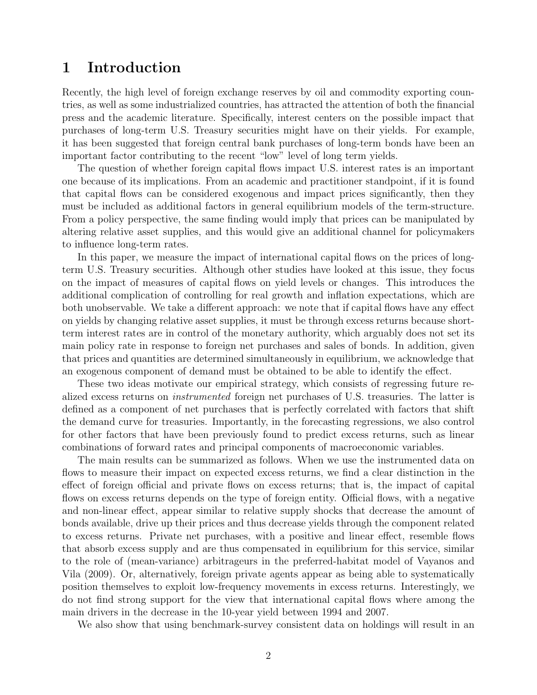### 1 Introduction

Recently, the high level of foreign exchange reserves by oil and commodity exporting countries, as well as some industrialized countries, has attracted the attention of both the financial press and the academic literature. Specifically, interest centers on the possible impact that purchases of long-term U.S. Treasury securities might have on their yields. For example, it has been suggested that foreign central bank purchases of long-term bonds have been an important factor contributing to the recent "low" level of long term yields.

The question of whether foreign capital flows impact U.S. interest rates is an important one because of its implications. From an academic and practitioner standpoint, if it is found that capital flows can be considered exogenous and impact prices significantly, then they must be included as additional factors in general equilibrium models of the term-structure. From a policy perspective, the same finding would imply that prices can be manipulated by altering relative asset supplies, and this would give an additional channel for policymakers to influence long-term rates.

In this paper, we measure the impact of international capital flows on the prices of longterm U.S. Treasury securities. Although other studies have looked at this issue, they focus on the impact of measures of capital flows on yield levels or changes. This introduces the additional complication of controlling for real growth and inflation expectations, which are both unobservable. We take a different approach: we note that if capital flows have any effect on yields by changing relative asset supplies, it must be through excess returns because shortterm interest rates are in control of the monetary authority, which arguably does not set its main policy rate in response to foreign net purchases and sales of bonds. In addition, given that prices and quantities are determined simultaneously in equilibrium, we acknowledge that an exogenous component of demand must be obtained to be able to identify the effect.

These two ideas motivate our empirical strategy, which consists of regressing future realized excess returns on instrumented foreign net purchases of U.S. treasuries. The latter is defined as a component of net purchases that is perfectly correlated with factors that shift the demand curve for treasuries. Importantly, in the forecasting regressions, we also control for other factors that have been previously found to predict excess returns, such as linear combinations of forward rates and principal components of macroeconomic variables.

The main results can be summarized as follows. When we use the instrumented data on flows to measure their impact on expected excess returns, we find a clear distinction in the effect of foreign official and private flows on excess returns; that is, the impact of capital flows on excess returns depends on the type of foreign entity. Official flows, with a negative and non-linear effect, appear similar to relative supply shocks that decrease the amount of bonds available, drive up their prices and thus decrease yields through the component related to excess returns. Private net purchases, with a positive and linear effect, resemble flows that absorb excess supply and are thus compensated in equilibrium for this service, similar to the role of (mean-variance) arbitrageurs in the preferred-habitat model of Vayanos and Vila (2009). Or, alternatively, foreign private agents appear as being able to systematically position themselves to exploit low-frequency movements in excess returns. Interestingly, we do not find strong support for the view that international capital flows where among the main drivers in the decrease in the 10-year yield between 1994 and 2007.

We also show that using benchmark-survey consistent data on holdings will result in an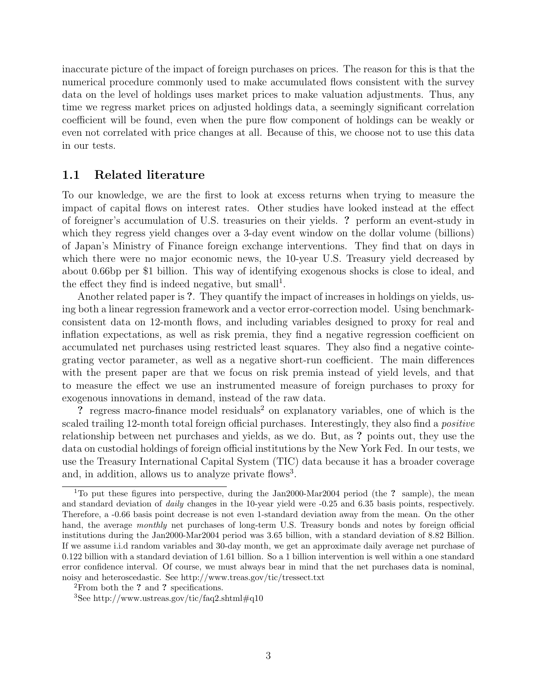inaccurate picture of the impact of foreign purchases on prices. The reason for this is that the numerical procedure commonly used to make accumulated flows consistent with the survey data on the level of holdings uses market prices to make valuation adjustments. Thus, any time we regress market prices on adjusted holdings data, a seemingly significant correlation coefficient will be found, even when the pure flow component of holdings can be weakly or even not correlated with price changes at all. Because of this, we choose not to use this data in our tests.

#### 1.1 Related literature

To our knowledge, we are the first to look at excess returns when trying to measure the impact of capital flows on interest rates. Other studies have looked instead at the effect of foreigner's accumulation of U.S. treasuries on their yields. ? perform an event-study in which they regress yield changes over a 3-day event window on the dollar volume (billions) of Japan's Ministry of Finance foreign exchange interventions. They find that on days in which there were no major economic news, the 10-year U.S. Treasury yield decreased by about 0.66bp per \$1 billion. This way of identifying exogenous shocks is close to ideal, and the effect they find is indeed negative, but small<sup>1</sup>.

Another related paper is ?. They quantify the impact of increases in holdings on yields, using both a linear regression framework and a vector error-correction model. Using benchmarkconsistent data on 12-month flows, and including variables designed to proxy for real and inflation expectations, as well as risk premia, they find a negative regression coefficient on accumulated net purchases using restricted least squares. They also find a negative cointegrating vector parameter, as well as a negative short-run coefficient. The main differences with the present paper are that we focus on risk premia instead of yield levels, and that to measure the effect we use an instrumented measure of foreign purchases to proxy for exogenous innovations in demand, instead of the raw data.

? regress macro-finance model residuals<sup>2</sup> on explanatory variables, one of which is the scaled trailing 12-month total foreign official purchases. Interestingly, they also find a *positive* relationship between net purchases and yields, as we do. But, as ? points out, they use the data on custodial holdings of foreign official institutions by the New York Fed. In our tests, we use the Treasury International Capital System (TIC) data because it has a broader coverage and, in addition, allows us to analyze private flows<sup>3</sup>.

<sup>&</sup>lt;sup>1</sup>To put these figures into perspective, during the Jan2000-Mar2004 period (the ? sample), the mean and standard deviation of *daily* changes in the 10-year yield were -0.25 and 6.35 basis points, respectively. Therefore, a -0.66 basis point decrease is not even 1-standard deviation away from the mean. On the other hand, the average monthly net purchases of long-term U.S. Treasury bonds and notes by foreign official institutions during the Jan2000-Mar2004 period was 3.65 billion, with a standard deviation of 8.82 Billion. If we assume i.i.d random variables and 30-day month, we get an approximate daily average net purchase of 0.122 billion with a standard deviation of 1.61 billion. So a 1 billion intervention is well within a one standard error confidence interval. Of course, we must always bear in mind that the net purchases data is nominal, noisy and heteroscedastic. See http://www.treas.gov/tic/tressect.txt

<sup>&</sup>lt;sup>2</sup>From both the ? and ? specifications.

<sup>&</sup>lt;sup>3</sup>See http://www.ustreas.gov/tic/faq2.shtml#q10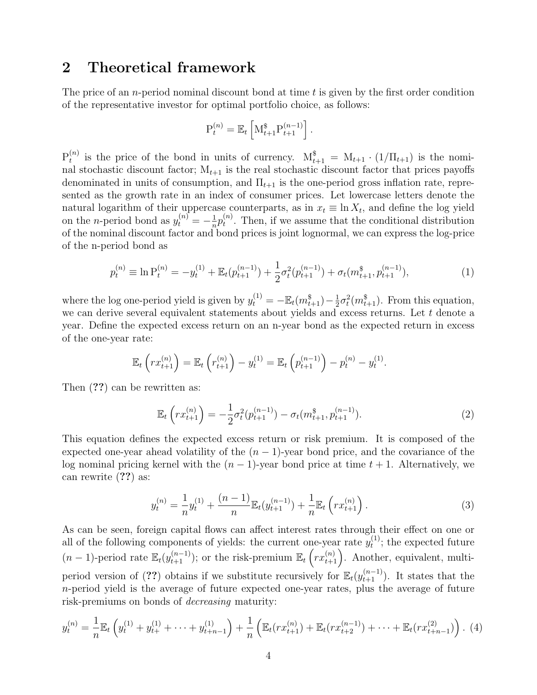## 2 Theoretical framework

The price of an *n*-period nominal discount bond at time t is given by the first order condition of the representative investor for optimal portfolio choice, as follows:

$$
P_t^{(n)} = \mathbb{E}_t \left[ M_{t+1}^* P_{t+1}^{(n-1)} \right].
$$

 ${\rm P}_t^{(n)}$  $t_t^{(n)}$  is the price of the bond in units of currency.  $M_{t+1}^{\$} = M_{t+1} \cdot (1/\Pi_{t+1})$  is the nominal stochastic discount factor;  $M_{t+1}$  is the real stochastic discount factor that prices payoffs denominated in units of consumption, and  $\Pi_{t+1}$  is the one-period gross inflation rate, represented as the growth rate in an index of consumer prices. Let lowercase letters denote the natural logarithm of their uppercase counterparts, as in  $x_t \equiv \ln X_t$ , and define the log yield on the *n*-period bond as  $y_t^{(n)} = -\frac{1}{n}$  $\frac{1}{n}p_t^{(n)}$  $t^{(n)}$ . Then, if we assume that the conditional distribution of the nominal discount factor and bond prices is joint lognormal, we can express the log-price of the n-period bond as

$$
p_t^{(n)} \equiv \ln P_t^{(n)} = -y_t^{(1)} + \mathbb{E}_t(p_{t+1}^{(n-1)}) + \frac{1}{2}\sigma_t^2(p_{t+1}^{(n-1)}) + \sigma_t(m_{t+1}^s, p_{t+1}^{(n-1)}),\tag{1}
$$

where the log one-period yield is given by  $y_t^{(1)} = -\mathbb{E}_t(m_{t+1}^s) - \frac{1}{2}$  $\frac{1}{2}\sigma_t^2(m_{t+1}^{\$})$ . From this equation, we can derive several equivalent statements about yields and excess returns. Let  $t$  denote a year. Define the expected excess return on an n-year bond as the expected return in excess of the one-year rate:

$$
\mathbb{E}_t\left(rx_{t+1}^{(n)}\right) = \mathbb{E}_t\left(r_{t+1}^{(n)}\right) - y_t^{(1)} = \mathbb{E}_t\left(p_{t+1}^{(n-1)}\right) - p_t^{(n)} - y_t^{(1)}.
$$

Then (??) can be rewritten as:

$$
\mathbb{E}_t\left(rx_{t+1}^{(n)}\right) = -\frac{1}{2}\sigma_t^2(p_{t+1}^{(n-1)}) - \sigma_t(m_{t+1}^s, p_{t+1}^{(n-1)}).
$$
\n(2)

This equation defines the expected excess return or risk premium. It is composed of the expected one-year ahead volatility of the  $(n - 1)$ -year bond price, and the covariance of the log nominal pricing kernel with the  $(n - 1)$ -year bond price at time  $t + 1$ . Alternatively, we can rewrite (??) as:

$$
y_t^{(n)} = \frac{1}{n} y_t^{(1)} + \frac{(n-1)}{n} \mathbb{E}_t(y_{t+1}^{(n-1)}) + \frac{1}{n} \mathbb{E}_t\left(rx_{t+1}^{(n)}\right). \tag{3}
$$

As can be seen, foreign capital flows can affect interest rates through their effect on one or all of the following components of yields: the current one-year rate  $y_t^{(1)}$  $t^{(1)}$ ; the expected future  $(n-1)$ -period rate  $\mathbb{E}_{t}(y_{t+1}^{(n-1)})$ ; or the risk-premium  $\mathbb{E}_{t}\left(rx_{t+1}^{(n)}\right)$ . Another, equivalent, multiperiod version of (??) obtains if we substitute recursively for  $\mathbb{E}_t(y_{t+1}^{(n-1)})$ . It states that the n-period yield is the average of future expected one-year rates, plus the average of future risk-premiums on bonds of decreasing maturity:

$$
y_t^{(n)} = \frac{1}{n} \mathbb{E}_t \left( y_t^{(1)} + y_{t+}^{(1)} + \dots + y_{t+n-1}^{(1)} \right) + \frac{1}{n} \left( \mathbb{E}_t (r x_{t+1}^{(n)}) + \mathbb{E}_t (r x_{t+2}^{(n-1)}) + \dots + \mathbb{E}_t (r x_{t+n-1}^{(2)}) \right). \tag{4}
$$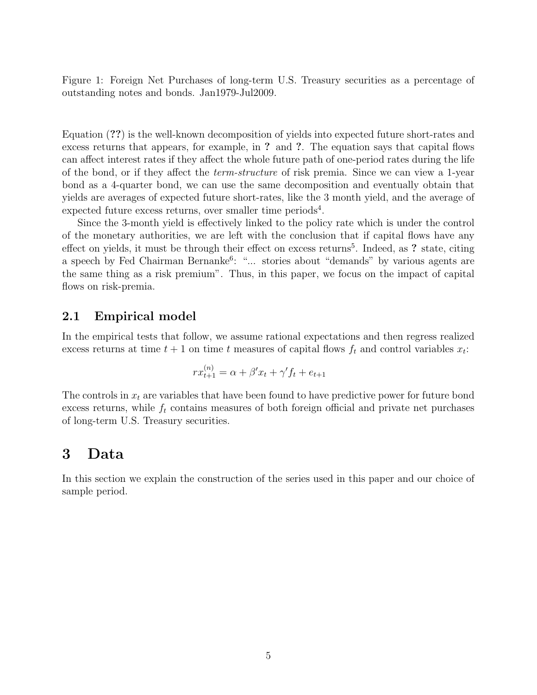Figure 1: Foreign Net Purchases of long-term U.S. Treasury securities as a percentage of outstanding notes and bonds. Jan1979-Jul2009.

Equation (??) is the well-known decomposition of yields into expected future short-rates and excess returns that appears, for example, in ? and ?. The equation says that capital flows can affect interest rates if they affect the whole future path of one-period rates during the life of the bond, or if they affect the term-structure of risk premia. Since we can view a 1-year bond as a 4-quarter bond, we can use the same decomposition and eventually obtain that yields are averages of expected future short-rates, like the 3 month yield, and the average of expected future excess returns, over smaller time periods<sup>4</sup>.

Since the 3-month yield is effectively linked to the policy rate which is under the control of the monetary authorities, we are left with the conclusion that if capital flows have any effect on yields, it must be through their effect on excess returns<sup>5</sup>. Indeed, as ? state, citing a speech by Fed Chairman Bernanke<sup>6</sup>: "... stories about "demands" by various agents are the same thing as a risk premium". Thus, in this paper, we focus on the impact of capital flows on risk-premia.

#### 2.1 Empirical model

In the empirical tests that follow, we assume rational expectations and then regress realized excess returns at time  $t + 1$  on time t measures of capital flows  $f_t$  and control variables  $x_t$ :

$$
rx_{t+1}^{(n)} = \alpha + \beta' x_t + \gamma' f_t + e_{t+1}
$$

The controls in  $x_t$  are variables that have been found to have predictive power for future bond excess returns, while  $f_t$  contains measures of both foreign official and private net purchases of long-term U.S. Treasury securities.

## 3 Data

In this section we explain the construction of the series used in this paper and our choice of sample period.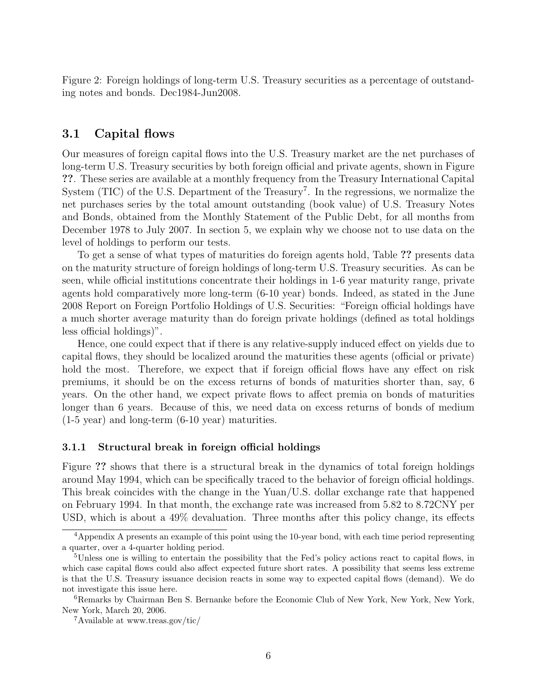Figure 2: Foreign holdings of long-term U.S. Treasury securities as a percentage of outstanding notes and bonds. Dec1984-Jun2008.

#### 3.1 Capital flows

Our measures of foreign capital flows into the U.S. Treasury market are the net purchases of long-term U.S. Treasury securities by both foreign official and private agents, shown in Figure ??. These series are available at a monthly frequency from the Treasury International Capital System (TIC) of the U.S. Department of the Treasury<sup>7</sup>. In the regressions, we normalize the net purchases series by the total amount outstanding (book value) of U.S. Treasury Notes and Bonds, obtained from the Monthly Statement of the Public Debt, for all months from December 1978 to July 2007. In section 5, we explain why we choose not to use data on the level of holdings to perform our tests.

To get a sense of what types of maturities do foreign agents hold, Table ?? presents data on the maturity structure of foreign holdings of long-term U.S. Treasury securities. As can be seen, while official institutions concentrate their holdings in 1-6 year maturity range, private agents hold comparatively more long-term (6-10 year) bonds. Indeed, as stated in the June 2008 Report on Foreign Portfolio Holdings of U.S. Securities: "Foreign official holdings have a much shorter average maturity than do foreign private holdings (defined as total holdings less official holdings)".

Hence, one could expect that if there is any relative-supply induced effect on yields due to capital flows, they should be localized around the maturities these agents (official or private) hold the most. Therefore, we expect that if foreign official flows have any effect on risk premiums, it should be on the excess returns of bonds of maturities shorter than, say, 6 years. On the other hand, we expect private flows to affect premia on bonds of maturities longer than 6 years. Because of this, we need data on excess returns of bonds of medium (1-5 year) and long-term (6-10 year) maturities.

#### 3.1.1 Structural break in foreign official holdings

Figure ?? shows that there is a structural break in the dynamics of total foreign holdings around May 1994, which can be specifically traced to the behavior of foreign official holdings. This break coincides with the change in the Yuan/U.S. dollar exchange rate that happened on February 1994. In that month, the exchange rate was increased from 5.82 to 8.72CNY per USD, which is about a 49% devaluation. Three months after this policy change, its effects

<sup>4</sup>Appendix A presents an example of this point using the 10-year bond, with each time period representing a quarter, over a 4-quarter holding period.

<sup>&</sup>lt;sup>5</sup>Unless one is willing to entertain the possibility that the Fed's policy actions react to capital flows, in which case capital flows could also affect expected future short rates. A possibility that seems less extreme is that the U.S. Treasury issuance decision reacts in some way to expected capital flows (demand). We do not investigate this issue here.

<sup>6</sup>Remarks by Chairman Ben S. Bernanke before the Economic Club of New York, New York, New York, New York, March 20, 2006.

<sup>7</sup>Available at www.treas.gov/tic/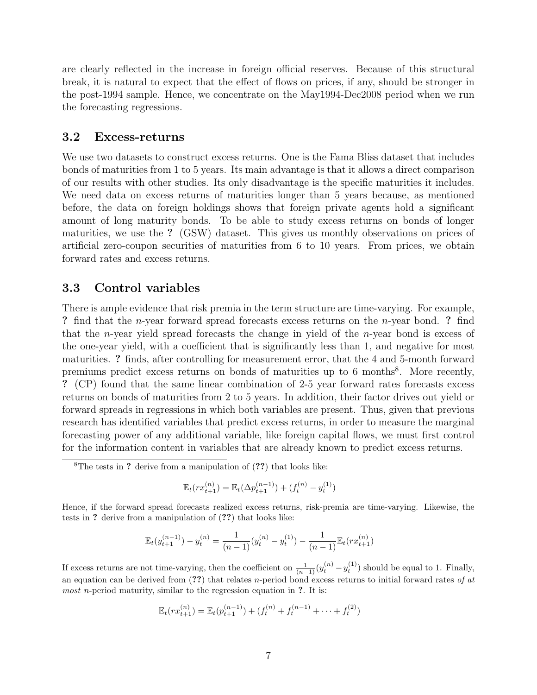are clearly reflected in the increase in foreign official reserves. Because of this structural break, it is natural to expect that the effect of flows on prices, if any, should be stronger in the post-1994 sample. Hence, we concentrate on the May1994-Dec2008 period when we run the forecasting regressions.

#### 3.2 Excess-returns

We use two datasets to construct excess returns. One is the Fama Bliss dataset that includes bonds of maturities from 1 to 5 years. Its main advantage is that it allows a direct comparison of our results with other studies. Its only disadvantage is the specific maturities it includes. We need data on excess returns of maturities longer than 5 years because, as mentioned before, the data on foreign holdings shows that foreign private agents hold a significant amount of long maturity bonds. To be able to study excess returns on bonds of longer maturities, we use the ? (GSW) dataset. This gives us monthly observations on prices of artificial zero-coupon securities of maturities from 6 to 10 years. From prices, we obtain forward rates and excess returns.

#### 3.3 Control variables

There is ample evidence that risk premia in the term structure are time-varying. For example, ? find that the n-year forward spread forecasts excess returns on the n-year bond. ? find that the n-year yield spread forecasts the change in yield of the n-year bond is excess of the one-year yield, with a coefficient that is significantly less than 1, and negative for most maturities. ? finds, after controlling for measurement error, that the 4 and 5-month forward premiums predict excess returns on bonds of maturities up to 6 months<sup>8</sup>. More recently, ? (CP) found that the same linear combination of 2-5 year forward rates forecasts excess returns on bonds of maturities from 2 to 5 years. In addition, their factor drives out yield or forward spreads in regressions in which both variables are present. Thus, given that previous research has identified variables that predict excess returns, in order to measure the marginal forecasting power of any additional variable, like foreign capital flows, we must first control for the information content in variables that are already known to predict excess returns.

$$
\mathbb{E}_t(rx_{t+1}^{(n)}) = \mathbb{E}_t(\Delta p_{t+1}^{(n-1)}) + (f_t^{(n)} - y_t^{(1)})
$$

Hence, if the forward spread forecasts realized excess returns, risk-premia are time-varying. Likewise, the tests in ? derive from a manipulation of (??) that looks like:

$$
\mathbb{E}_t(y_{t+1}^{(n-1)})-y_t^{(n)} = \frac{1}{(n-1)}(y_t^{(n)}-y_t^{(1)}) - \frac{1}{(n-1)}\mathbb{E}_t(r x_{t+1}^{(n)})
$$

If excess returns are not time-varying, then the coefficient on  $\frac{1}{(n-1)} (y_t^{(n)} - y_t^{(1)})$  should be equal to 1. Finally, an equation can be derived from  $(??)$  that relates n-period bond excess returns to initial forward rates of at *most* n-period maturity, similar to the regression equation in  $\mathfrak{?}$ . It is:

$$
\mathbb{E}_t(rx_{t+1}^{(n)}) = \mathbb{E}_t(p_{t+1}^{(n-1)}) + (f_t^{(n)} + f_t^{(n-1)} + \dots + f_t^{(2)})
$$

 ${}^8$ The tests in ? derive from a manipulation of  $(??)$  that looks like: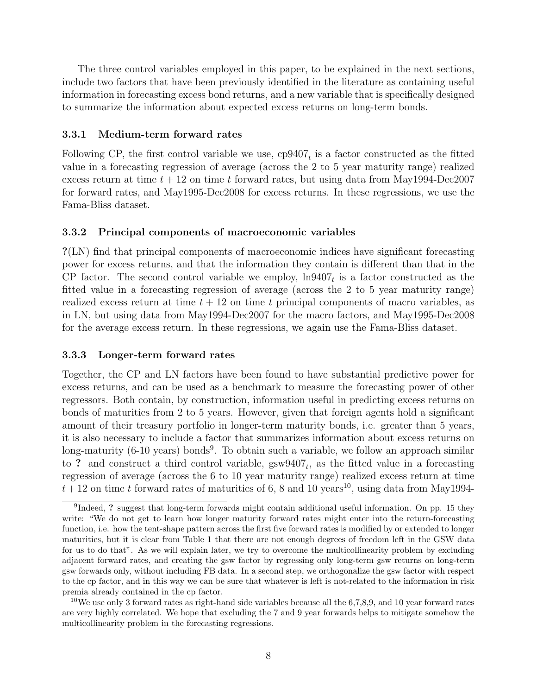The three control variables employed in this paper, to be explained in the next sections, include two factors that have been previously identified in the literature as containing useful information in forecasting excess bond returns, and a new variable that is specifically designed to summarize the information about expected excess returns on long-term bonds.

#### 3.3.1 Medium-term forward rates

Following CP, the first control variable we use,  $cp9407<sub>t</sub>$  is a factor constructed as the fitted value in a forecasting regression of average (across the 2 to 5 year maturity range) realized excess return at time  $t + 12$  on time t forward rates, but using data from May1994-Dec2007 for forward rates, and May1995-Dec2008 for excess returns. In these regressions, we use the Fama-Bliss dataset.

#### 3.3.2 Principal components of macroeconomic variables

?(LN) find that principal components of macroeconomic indices have significant forecasting power for excess returns, and that the information they contain is different than that in the CP factor. The second control variable we employ,  $\ln 9407_t$  is a factor constructed as the fitted value in a forecasting regression of average (across the 2 to 5 year maturity range) realized excess return at time  $t + 12$  on time t principal components of macro variables, as in LN, but using data from May1994-Dec2007 for the macro factors, and May1995-Dec2008 for the average excess return. In these regressions, we again use the Fama-Bliss dataset.

#### 3.3.3 Longer-term forward rates

Together, the CP and LN factors have been found to have substantial predictive power for excess returns, and can be used as a benchmark to measure the forecasting power of other regressors. Both contain, by construction, information useful in predicting excess returns on bonds of maturities from 2 to 5 years. However, given that foreign agents hold a significant amount of their treasury portfolio in longer-term maturity bonds, i.e. greater than 5 years, it is also necessary to include a factor that summarizes information about excess returns on long-maturity (6-10 years) bonds<sup>9</sup>. To obtain such a variable, we follow an approach similar to ? and construct a third control variable,  $gsw9407_t$ , as the fitted value in a forecasting regression of average (across the 6 to 10 year maturity range) realized excess return at time  $t + 12$  on time t forward rates of maturities of 6, 8 and 10 years<sup>10</sup>, using data from May1994-

<sup>&</sup>lt;sup>9</sup>Indeed, ? suggest that long-term forwards might contain additional useful information. On pp. 15 they write: "We do not get to learn how longer maturity forward rates might enter into the return-forecasting function, i.e. how the tent-shape pattern across the first five forward rates is modified by or extended to longer maturities, but it is clear from Table 1 that there are not enough degrees of freedom left in the GSW data for us to do that". As we will explain later, we try to overcome the multicollinearity problem by excluding adjacent forward rates, and creating the gsw factor by regressing only long-term gsw returns on long-term gsw forwards only, without including FB data. In a second step, we orthogonalize the gsw factor with respect to the cp factor, and in this way we can be sure that whatever is left is not-related to the information in risk premia already contained in the cp factor.

<sup>10</sup>We use only 3 forward rates as right-hand side variables because all the 6,7,8,9, and 10 year forward rates are very highly correlated. We hope that excluding the 7 and 9 year forwards helps to mitigate somehow the multicollinearity problem in the forecasting regressions.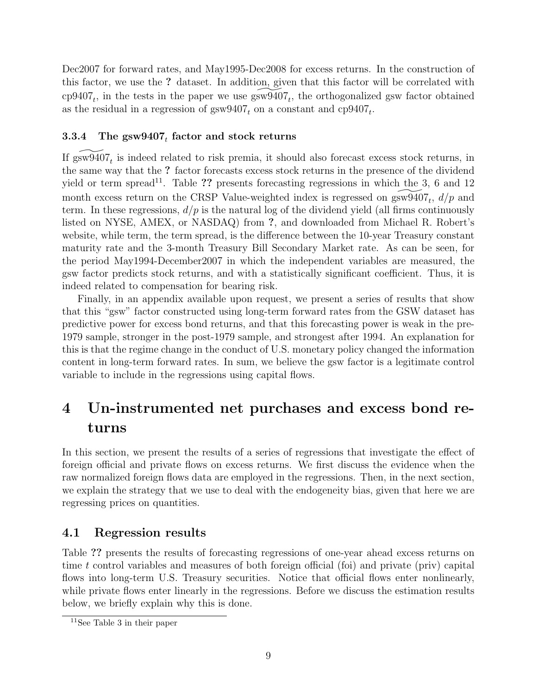Dec2007 for forward rates, and May1995-Dec2008 for excess returns. In the construction of this factor, we use the ? dataset. In addition, given that this factor will be correlated with cp9407<sub>t</sub>, in the tests in the paper we use  $\widetilde{\text{sgw9407}}_t$ , the orthogonalized gsw factor obtained as the residual in a regression of  $\text{gsw9407}_t$  on a constant and  $\text{cp9407}_t$ .

### $3.3.4$  The gsw $9407_t$  factor and stock returns

If  $\widetilde{\text{gsw9407}}_t$  is indeed related to risk premia, it should also forecast excess stock returns, in the same way that the ? factor forecasts excess stock returns in the presence of the dividend yield or term spread<sup>11</sup>. Table ?? presents forecasting regressions in which the 3, 6 and 12 month excess return on the CRSP Value-weighted index is regressed on  $\widetilde{\text{gsw9407}}_t$ ,  $d/p$  and term. In these regressions,  $d/p$  is the natural log of the dividend yield (all firms continuously listed on NYSE, AMEX, or NASDAQ) from ?, and downloaded from Michael R. Robert's website, while term, the term spread, is the difference between the 10-year Treasury constant maturity rate and the 3-month Treasury Bill Secondary Market rate. As can be seen, for the period May1994-December2007 in which the independent variables are measured, the gsw factor predicts stock returns, and with a statistically significant coefficient. Thus, it is indeed related to compensation for bearing risk.

Finally, in an appendix available upon request, we present a series of results that show that this "gsw" factor constructed using long-term forward rates from the GSW dataset has predictive power for excess bond returns, and that this forecasting power is weak in the pre-1979 sample, stronger in the post-1979 sample, and strongest after 1994. An explanation for this is that the regime change in the conduct of U.S. monetary policy changed the information content in long-term forward rates. In sum, we believe the gsw factor is a legitimate control variable to include in the regressions using capital flows.

## 4 Un-instrumented net purchases and excess bond returns

In this section, we present the results of a series of regressions that investigate the effect of foreign official and private flows on excess returns. We first discuss the evidence when the raw normalized foreign flows data are employed in the regressions. Then, in the next section, we explain the strategy that we use to deal with the endogeneity bias, given that here we are regressing prices on quantities.

## 4.1 Regression results

Table ?? presents the results of forecasting regressions of one-year ahead excess returns on time t control variables and measures of both foreign official (foi) and private (priv) capital flows into long-term U.S. Treasury securities. Notice that official flows enter nonlinearly, while private flows enter linearly in the regressions. Before we discuss the estimation results below, we briefly explain why this is done.

<sup>11</sup>See Table 3 in their paper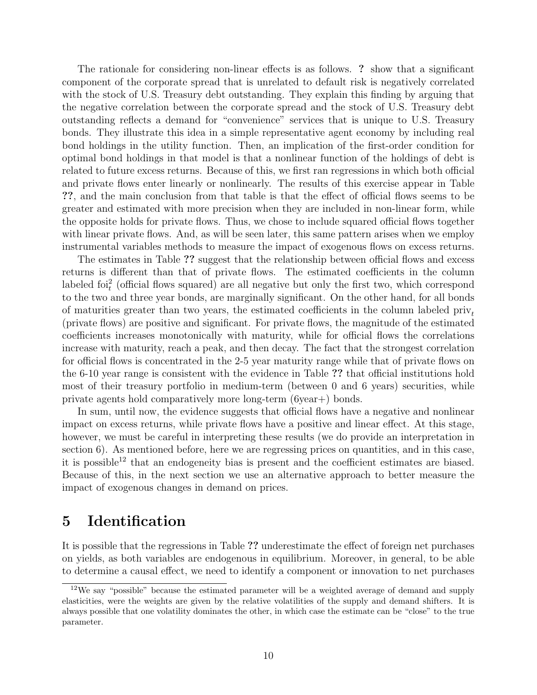The rationale for considering non-linear effects is as follows. ? show that a significant component of the corporate spread that is unrelated to default risk is negatively correlated with the stock of U.S. Treasury debt outstanding. They explain this finding by arguing that the negative correlation between the corporate spread and the stock of U.S. Treasury debt outstanding reflects a demand for "convenience" services that is unique to U.S. Treasury bonds. They illustrate this idea in a simple representative agent economy by including real bond holdings in the utility function. Then, an implication of the first-order condition for optimal bond holdings in that model is that a nonlinear function of the holdings of debt is related to future excess returns. Because of this, we first ran regressions in which both official and private flows enter linearly or nonlinearly. The results of this exercise appear in Table ??, and the main conclusion from that table is that the effect of official flows seems to be greater and estimated with more precision when they are included in non-linear form, while the opposite holds for private flows. Thus, we chose to include squared official flows together with linear private flows. And, as will be seen later, this same pattern arises when we employ instrumental variables methods to measure the impact of exogenous flows on excess returns.

The estimates in Table ?? suggest that the relationship between official flows and excess returns is different than that of private flows. The estimated coefficients in the column labeled foi<sub>t</sub><sup>2</sup> (official flows squared) are all negative but only the first two, which correspond to the two and three year bonds, are marginally significant. On the other hand, for all bonds of maturities greater than two years, the estimated coefficients in the column labeled  $\text{priv}_{t}$ (private flows) are positive and significant. For private flows, the magnitude of the estimated coefficients increases monotonically with maturity, while for official flows the correlations increase with maturity, reach a peak, and then decay. The fact that the strongest correlation for official flows is concentrated in the 2-5 year maturity range while that of private flows on the 6-10 year range is consistent with the evidence in Table ?? that official institutions hold most of their treasury portfolio in medium-term (between 0 and 6 years) securities, while private agents hold comparatively more long-term (6year+) bonds.

In sum, until now, the evidence suggests that official flows have a negative and nonlinear impact on excess returns, while private flows have a positive and linear effect. At this stage, however, we must be careful in interpreting these results (we do provide an interpretation in section 6). As mentioned before, here we are regressing prices on quantities, and in this case, it is possible<sup>12</sup> that an endogeneity bias is present and the coefficient estimates are biased. Because of this, in the next section we use an alternative approach to better measure the impact of exogenous changes in demand on prices.

## 5 Identification

It is possible that the regressions in Table ?? underestimate the effect of foreign net purchases on yields, as both variables are endogenous in equilibrium. Moreover, in general, to be able to determine a causal effect, we need to identify a component or innovation to net purchases

<sup>&</sup>lt;sup>12</sup>We say "possible" because the estimated parameter will be a weighted average of demand and supply elasticities, were the weights are given by the relative volatilities of the supply and demand shifters. It is always possible that one volatility dominates the other, in which case the estimate can be "close" to the true parameter.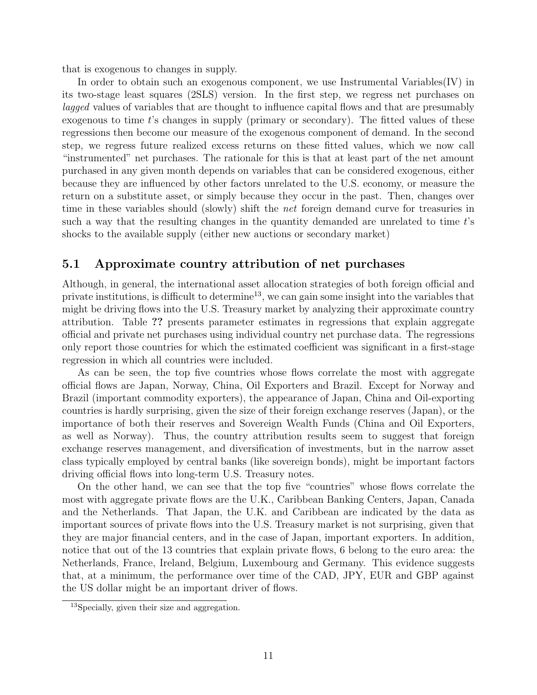that is exogenous to changes in supply.

In order to obtain such an exogenous component, we use Instrumental Variables(IV) in its two-stage least squares (2SLS) version. In the first step, we regress net purchases on lagged values of variables that are thought to influence capital flows and that are presumably exogenous to time  $t$ 's changes in supply (primary or secondary). The fitted values of these regressions then become our measure of the exogenous component of demand. In the second step, we regress future realized excess returns on these fitted values, which we now call "instrumented" net purchases. The rationale for this is that at least part of the net amount purchased in any given month depends on variables that can be considered exogenous, either because they are influenced by other factors unrelated to the U.S. economy, or measure the return on a substitute asset, or simply because they occur in the past. Then, changes over time in these variables should (slowly) shift the net foreign demand curve for treasuries in such a way that the resulting changes in the quantity demanded are unrelated to time t's shocks to the available supply (either new auctions or secondary market)

#### 5.1 Approximate country attribution of net purchases

Although, in general, the international asset allocation strategies of both foreign official and private institutions, is difficult to determine<sup>13</sup>, we can gain some insight into the variables that might be driving flows into the U.S. Treasury market by analyzing their approximate country attribution. Table ?? presents parameter estimates in regressions that explain aggregate official and private net purchases using individual country net purchase data. The regressions only report those countries for which the estimated coefficient was significant in a first-stage regression in which all countries were included.

As can be seen, the top five countries whose flows correlate the most with aggregate official flows are Japan, Norway, China, Oil Exporters and Brazil. Except for Norway and Brazil (important commodity exporters), the appearance of Japan, China and Oil-exporting countries is hardly surprising, given the size of their foreign exchange reserves (Japan), or the importance of both their reserves and Sovereign Wealth Funds (China and Oil Exporters, as well as Norway). Thus, the country attribution results seem to suggest that foreign exchange reserves management, and diversification of investments, but in the narrow asset class typically employed by central banks (like sovereign bonds), might be important factors driving official flows into long-term U.S. Treasury notes.

On the other hand, we can see that the top five "countries" whose flows correlate the most with aggregate private flows are the U.K., Caribbean Banking Centers, Japan, Canada and the Netherlands. That Japan, the U.K. and Caribbean are indicated by the data as important sources of private flows into the U.S. Treasury market is not surprising, given that they are major financial centers, and in the case of Japan, important exporters. In addition, notice that out of the 13 countries that explain private flows, 6 belong to the euro area: the Netherlands, France, Ireland, Belgium, Luxembourg and Germany. This evidence suggests that, at a minimum, the performance over time of the CAD, JPY, EUR and GBP against the US dollar might be an important driver of flows.

<sup>13</sup>Specially, given their size and aggregation.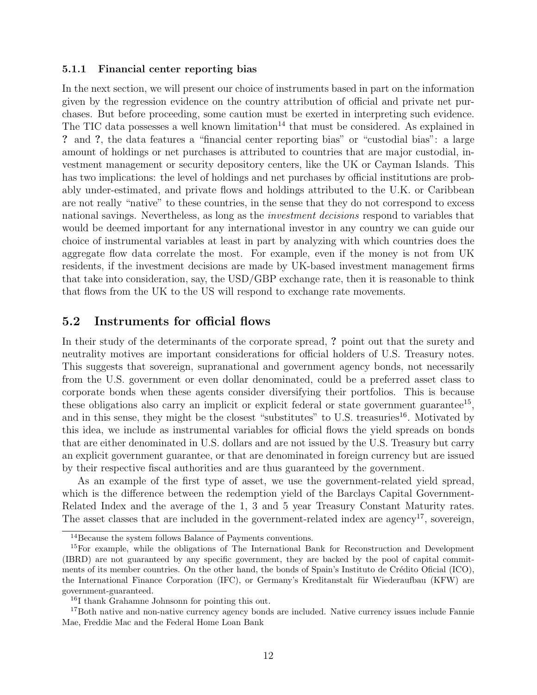#### 5.1.1 Financial center reporting bias

In the next section, we will present our choice of instruments based in part on the information given by the regression evidence on the country attribution of official and private net purchases. But before proceeding, some caution must be exerted in interpreting such evidence. The TIC data possesses a well known limitation<sup>14</sup> that must be considered. As explained in ? and ?, the data features a "financial center reporting bias" or "custodial bias": a large amount of holdings or net purchases is attributed to countries that are major custodial, investment management or security depository centers, like the UK or Cayman Islands. This has two implications: the level of holdings and net purchases by official institutions are probably under-estimated, and private flows and holdings attributed to the U.K. or Caribbean are not really "native" to these countries, in the sense that they do not correspond to excess national savings. Nevertheless, as long as the *investment decisions* respond to variables that would be deemed important for any international investor in any country we can guide our choice of instrumental variables at least in part by analyzing with which countries does the aggregate flow data correlate the most. For example, even if the money is not from UK residents, if the investment decisions are made by UK-based investment management firms that take into consideration, say, the USD/GBP exchange rate, then it is reasonable to think that flows from the UK to the US will respond to exchange rate movements.

#### 5.2 Instruments for official flows

In their study of the determinants of the corporate spread, ? point out that the surety and neutrality motives are important considerations for official holders of U.S. Treasury notes. This suggests that sovereign, supranational and government agency bonds, not necessarily from the U.S. government or even dollar denominated, could be a preferred asset class to corporate bonds when these agents consider diversifying their portfolios. This is because these obligations also carry an implicit or explicit federal or state government guarantee<sup>15</sup>, and in this sense, they might be the closest "substitutes" to U.S. treasuries<sup>16</sup>. Motivated by this idea, we include as instrumental variables for official flows the yield spreads on bonds that are either denominated in U.S. dollars and are not issued by the U.S. Treasury but carry an explicit government guarantee, or that are denominated in foreign currency but are issued by their respective fiscal authorities and are thus guaranteed by the government.

As an example of the first type of asset, we use the government-related yield spread, which is the difference between the redemption yield of the Barclays Capital Government-Related Index and the average of the 1, 3 and 5 year Treasury Constant Maturity rates. The asset classes that are included in the government-related index are agency<sup>17</sup>, sovereign,

<sup>&</sup>lt;sup>14</sup>Because the system follows Balance of Payments conventions.

<sup>15</sup>For example, while the obligations of The International Bank for Reconstruction and Development (IBRD) are not guaranteed by any specific government, they are backed by the pool of capital commitments of its member countries. On the other hand, the bonds of Spain's Instituto de Crédito Oficial (ICO), the International Finance Corporation (IFC), or Germany's Kreditanstalt für Wiederaufbau (KFW) are government-guaranteed.

<sup>16</sup>I thank Grahamne Johnsonn for pointing this out.

<sup>&</sup>lt;sup>17</sup>Both native and non-native currency agency bonds are included. Native currency issues include Fannie Mae, Freddie Mac and the Federal Home Loan Bank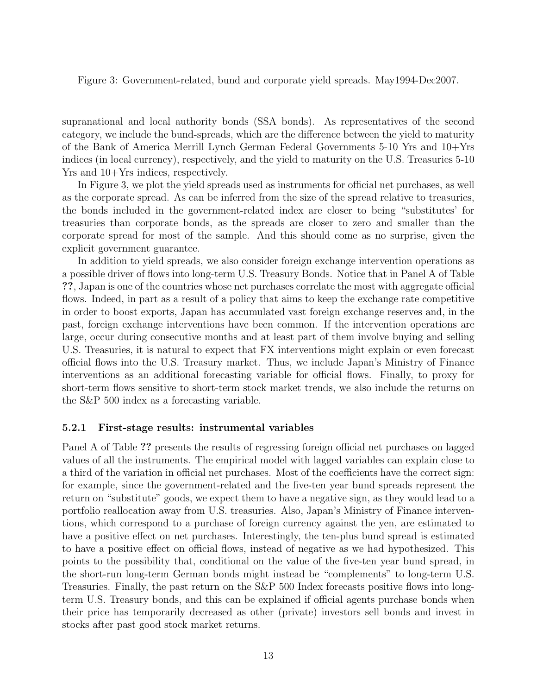Figure 3: Government-related, bund and corporate yield spreads. May1994-Dec2007.

supranational and local authority bonds (SSA bonds). As representatives of the second category, we include the bund-spreads, which are the difference between the yield to maturity of the Bank of America Merrill Lynch German Federal Governments 5-10 Yrs and 10+Yrs indices (in local currency), respectively, and the yield to maturity on the U.S. Treasuries 5-10 Yrs and  $10+Yrs$  indices, respectively.

In Figure 3, we plot the yield spreads used as instruments for official net purchases, as well as the corporate spread. As can be inferred from the size of the spread relative to treasuries, the bonds included in the government-related index are closer to being "substitutes' for treasuries than corporate bonds, as the spreads are closer to zero and smaller than the corporate spread for most of the sample. And this should come as no surprise, given the explicit government guarantee.

In addition to yield spreads, we also consider foreign exchange intervention operations as a possible driver of flows into long-term U.S. Treasury Bonds. Notice that in Panel A of Table ??, Japan is one of the countries whose net purchases correlate the most with aggregate official flows. Indeed, in part as a result of a policy that aims to keep the exchange rate competitive in order to boost exports, Japan has accumulated vast foreign exchange reserves and, in the past, foreign exchange interventions have been common. If the intervention operations are large, occur during consecutive months and at least part of them involve buying and selling U.S. Treasuries, it is natural to expect that FX interventions might explain or even forecast official flows into the U.S. Treasury market. Thus, we include Japan's Ministry of Finance interventions as an additional forecasting variable for official flows. Finally, to proxy for short-term flows sensitive to short-term stock market trends, we also include the returns on the S&P 500 index as a forecasting variable.

#### 5.2.1 First-stage results: instrumental variables

Panel A of Table ?? presents the results of regressing foreign official net purchases on lagged values of all the instruments. The empirical model with lagged variables can explain close to a third of the variation in official net purchases. Most of the coefficients have the correct sign: for example, since the government-related and the five-ten year bund spreads represent the return on "substitute" goods, we expect them to have a negative sign, as they would lead to a portfolio reallocation away from U.S. treasuries. Also, Japan's Ministry of Finance interventions, which correspond to a purchase of foreign currency against the yen, are estimated to have a positive effect on net purchases. Interestingly, the ten-plus bund spread is estimated to have a positive effect on official flows, instead of negative as we had hypothesized. This points to the possibility that, conditional on the value of the five-ten year bund spread, in the short-run long-term German bonds might instead be "complements" to long-term U.S. Treasuries. Finally, the past return on the S&P 500 Index forecasts positive flows into longterm U.S. Treasury bonds, and this can be explained if official agents purchase bonds when their price has temporarily decreased as other (private) investors sell bonds and invest in stocks after past good stock market returns.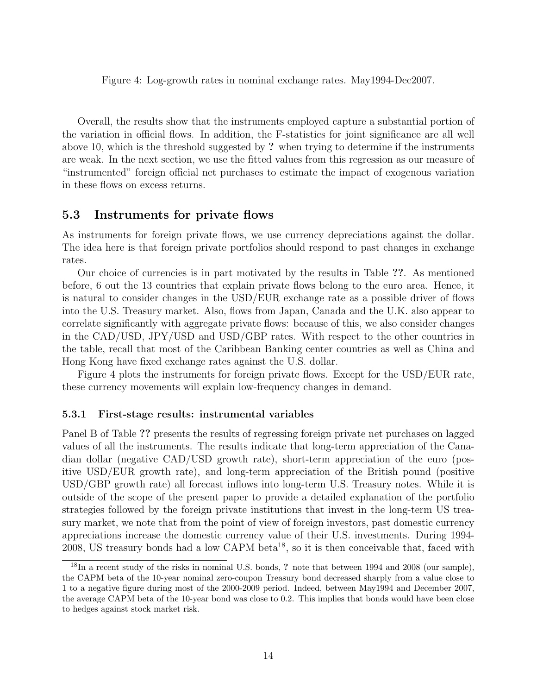Figure 4: Log-growth rates in nominal exchange rates. May1994-Dec2007.

Overall, the results show that the instruments employed capture a substantial portion of the variation in official flows. In addition, the F-statistics for joint significance are all well above 10, which is the threshold suggested by ? when trying to determine if the instruments are weak. In the next section, we use the fitted values from this regression as our measure of "instrumented" foreign official net purchases to estimate the impact of exogenous variation in these flows on excess returns.

#### 5.3 Instruments for private flows

As instruments for foreign private flows, we use currency depreciations against the dollar. The idea here is that foreign private portfolios should respond to past changes in exchange rates.

Our choice of currencies is in part motivated by the results in Table ??. As mentioned before, 6 out the 13 countries that explain private flows belong to the euro area. Hence, it is natural to consider changes in the USD/EUR exchange rate as a possible driver of flows into the U.S. Treasury market. Also, flows from Japan, Canada and the U.K. also appear to correlate significantly with aggregate private flows: because of this, we also consider changes in the CAD/USD, JPY/USD and USD/GBP rates. With respect to the other countries in the table, recall that most of the Caribbean Banking center countries as well as China and Hong Kong have fixed exchange rates against the U.S. dollar.

Figure 4 plots the instruments for foreign private flows. Except for the USD/EUR rate, these currency movements will explain low-frequency changes in demand.

#### 5.3.1 First-stage results: instrumental variables

Panel B of Table ?? presents the results of regressing foreign private net purchases on lagged values of all the instruments. The results indicate that long-term appreciation of the Canadian dollar (negative CAD/USD growth rate), short-term appreciation of the euro (positive USD/EUR growth rate), and long-term appreciation of the British pound (positive USD/GBP growth rate) all forecast inflows into long-term U.S. Treasury notes. While it is outside of the scope of the present paper to provide a detailed explanation of the portfolio strategies followed by the foreign private institutions that invest in the long-term US treasury market, we note that from the point of view of foreign investors, past domestic currency appreciations increase the domestic currency value of their U.S. investments. During 1994- 2008, US treasury bonds had a low CAPM beta<sup>18</sup>, so it is then conceivable that, faced with

<sup>18</sup>In a recent study of the risks in nominal U.S. bonds, ? note that between 1994 and 2008 (our sample), the CAPM beta of the 10-year nominal zero-coupon Treasury bond decreased sharply from a value close to 1 to a negative figure during most of the 2000-2009 period. Indeed, between May1994 and December 2007, the average CAPM beta of the 10-year bond was close to 0.2. This implies that bonds would have been close to hedges against stock market risk.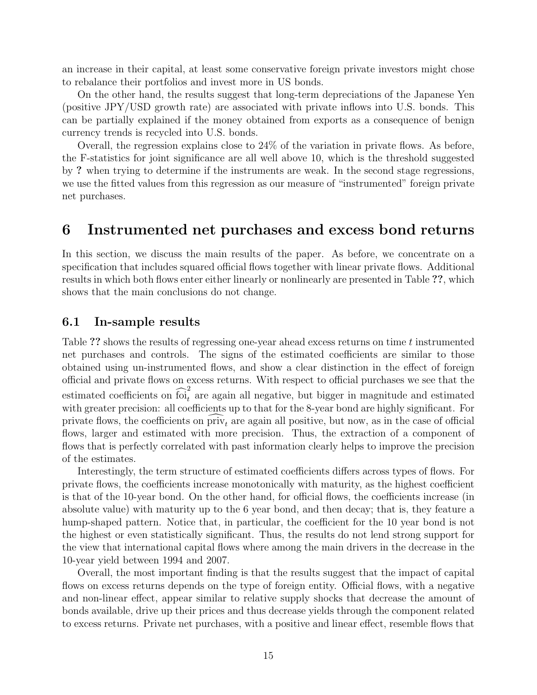an increase in their capital, at least some conservative foreign private investors might chose to rebalance their portfolios and invest more in US bonds.

On the other hand, the results suggest that long-term depreciations of the Japanese Yen (positive JPY/USD growth rate) are associated with private inflows into U.S. bonds. This can be partially explained if the money obtained from exports as a consequence of benign currency trends is recycled into U.S. bonds.

Overall, the regression explains close to 24% of the variation in private flows. As before, the F-statistics for joint significance are all well above 10, which is the threshold suggested by ? when trying to determine if the instruments are weak. In the second stage regressions, we use the fitted values from this regression as our measure of "instrumented" foreign private net purchases.

## 6 Instrumented net purchases and excess bond returns

In this section, we discuss the main results of the paper. As before, we concentrate on a specification that includes squared official flows together with linear private flows. Additional results in which both flows enter either linearly or nonlinearly are presented in Table ??, which shows that the main conclusions do not change.

#### 6.1 In-sample results

Table ?? shows the results of regressing one-year ahead excess returns on time t instrumented net purchases and controls. The signs of the estimated coefficients are similar to those obtained using un-instrumented flows, and show a clear distinction in the effect of foreign official and private flows on excess returns. With respect to official purchases we see that the estimated coefficients on  $\widehat{foi}_t^2$  are again all negative, but bigger in magnitude and estimated with greater precision: all coefficients up to that for the 8-year bond are highly significant. For private flows, the coefficients on  $\text{priv}_t$  are again all positive, but now, as in the case of official flows, larger and estimated with more precision. Thus, the extraction of a component of flows that is perfectly correlated with past information clearly helps to improve the precision of the estimates.

Interestingly, the term structure of estimated coefficients differs across types of flows. For private flows, the coefficients increase monotonically with maturity, as the highest coefficient is that of the 10-year bond. On the other hand, for official flows, the coefficients increase (in absolute value) with maturity up to the 6 year bond, and then decay; that is, they feature a hump-shaped pattern. Notice that, in particular, the coefficient for the 10 year bond is not the highest or even statistically significant. Thus, the results do not lend strong support for the view that international capital flows where among the main drivers in the decrease in the 10-year yield between 1994 and 2007.

Overall, the most important finding is that the results suggest that the impact of capital flows on excess returns depends on the type of foreign entity. Official flows, with a negative and non-linear effect, appear similar to relative supply shocks that decrease the amount of bonds available, drive up their prices and thus decrease yields through the component related to excess returns. Private net purchases, with a positive and linear effect, resemble flows that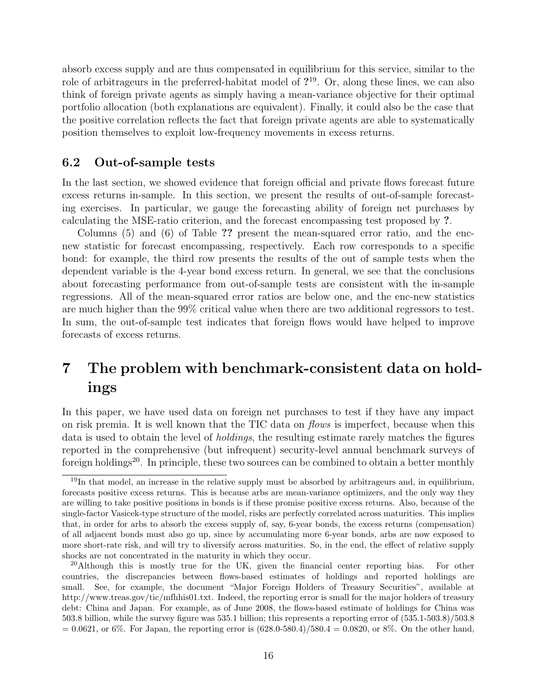absorb excess supply and are thus compensated in equilibrium for this service, similar to the role of arbitrageurs in the preferred-habitat model of  $2^{19}$ . Or, along these lines, we can also think of foreign private agents as simply having a mean-variance objective for their optimal portfolio allocation (both explanations are equivalent). Finally, it could also be the case that the positive correlation reflects the fact that foreign private agents are able to systematically position themselves to exploit low-frequency movements in excess returns.

#### 6.2 Out-of-sample tests

In the last section, we showed evidence that foreign official and private flows forecast future excess returns in-sample. In this section, we present the results of out-of-sample forecasting exercises. In particular, we gauge the forecasting ability of foreign net purchases by calculating the MSE-ratio criterion, and the forecast encompassing test proposed by ?.

Columns (5) and (6) of Table ?? present the mean-squared error ratio, and the encnew statistic for forecast encompassing, respectively. Each row corresponds to a specific bond: for example, the third row presents the results of the out of sample tests when the dependent variable is the 4-year bond excess return. In general, we see that the conclusions about forecasting performance from out-of-sample tests are consistent with the in-sample regressions. All of the mean-squared error ratios are below one, and the enc-new statistics are much higher than the 99% critical value when there are two additional regressors to test. In sum, the out-of-sample test indicates that foreign flows would have helped to improve forecasts of excess returns.

## 7 The problem with benchmark-consistent data on holdings

In this paper, we have used data on foreign net purchases to test if they have any impact on risk premia. It is well known that the TIC data on flows is imperfect, because when this data is used to obtain the level of holdings, the resulting estimate rarely matches the figures reported in the comprehensive (but infrequent) security-level annual benchmark surveys of foreign holdings<sup>20</sup>. In principle, these two sources can be combined to obtain a better monthly

 $19$ In that model, an increase in the relative supply must be absorbed by arbitrageurs and, in equilibrium, forecasts positive excess returns. This is because arbs are mean-variance optimizers, and the only way they are willing to take positive positions in bonds is if these promise positive excess returns. Also, because of the single-factor Vasicek-type structure of the model, risks are perfectly correlated across maturities. This implies that, in order for arbs to absorb the excess supply of, say, 6-year bonds, the excess returns (compensation) of all adjacent bonds must also go up, since by accumulating more 6-year bonds, arbs are now exposed to more short-rate risk, and will try to diversify across maturities. So, in the end, the effect of relative supply shocks are not concentrated in the maturity in which they occur.

 $^{20}$ Although this is mostly true for the UK, given the financial center reporting bias. For other countries, the discrepancies between flows-based estimates of holdings and reported holdings are small. See, for example, the document "Major Foreign Holders of Treasury Securities", available at http://www.treas.gov/tic/mfhhis01.txt. Indeed, the reporting error is small for the major holders of treasury debt: China and Japan. For example, as of June 2008, the flows-based estimate of holdings for China was 503.8 billion, while the survey figure was 535.1 billion; this represents a reporting error of (535.1-503.8)/503.8  $= 0.0621$ , or 6%. For Japan, the reporting error is  $(628.0-580.4)/580.4 = 0.0820$ , or 8%. On the other hand,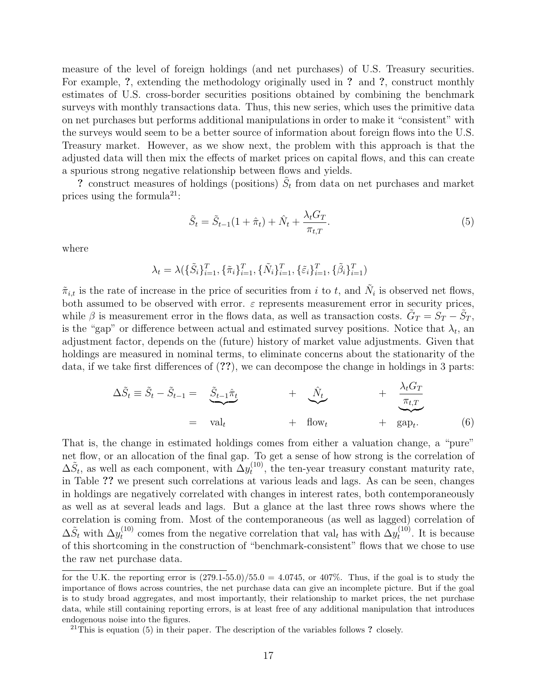measure of the level of foreign holdings (and net purchases) of U.S. Treasury securities. For example, ?, extending the methodology originally used in ? and ?, construct monthly estimates of U.S. cross-border securities positions obtained by combining the benchmark surveys with monthly transactions data. Thus, this new series, which uses the primitive data on net purchases but performs additional manipulations in order to make it "consistent" with the surveys would seem to be a better source of information about foreign flows into the U.S. Treasury market. However, as we show next, the problem with this approach is that the adjusted data will then mix the effects of market prices on capital flows, and this can create a spurious strong negative relationship between flows and yields.

? construct measures of holdings (positions)  $\tilde{S}_t$  from data on net purchases and market prices using the formula<sup>21</sup>:

$$
\tilde{S}_t = \tilde{S}_{t-1}(1+\hat{\pi}_t) + \hat{N}_t + \frac{\lambda_t G_T}{\pi_{t,T}}.
$$
\n
$$
\tag{5}
$$

where

$$
\lambda_t = \lambda(\{\tilde{S}_i\}_{i=1}^T, \{\tilde{\pi}_i\}_{i=1}^T, \{\tilde{N}_i\}_{i=1}^T, \{\tilde{\varepsilon}_i\}_{i=1}^T, \{\tilde{\beta}_i\}_{i=1}^T)
$$

 $\tilde{\pi}_{i,t}$  is the rate of increase in the price of securities from i to t, and  $\tilde{N}_i$  is observed net flows, both assumed to be observed with error.  $\varepsilon$  represents measurement error in security prices, while  $\beta$  is measurement error in the flows data, as well as transaction costs.  $\tilde{G}_T = \tilde{S}_T - \tilde{S}_T$ , is the "gap" or difference between actual and estimated survey positions. Notice that  $\lambda_t$ , an adjustment factor, depends on the (future) history of market value adjustments. Given that holdings are measured in nominal terms, to eliminate concerns about the stationarity of the data, if we take first differences of (??), we can decompose the change in holdings in 3 parts:

$$
\Delta \tilde{S}_t \equiv \tilde{S}_t - \tilde{S}_{t-1} = \underbrace{\tilde{S}_{t-1} \hat{\pi}_t}_{= \text{val}_t} + \underbrace{\hat{N}_t}_{+ \text{flow}_t} + \underbrace{\frac{\lambda_t G_T}{\pi_{t,T}}}_{= \text{gap}_t} \tag{6}
$$

That is, the change in estimated holdings comes from either a valuation change, a "pure" net flow, or an allocation of the final gap. To get a sense of how strong is the correlation of  $\Delta \tilde{S}_t$ , as well as each component, with  $\Delta y_t^{(10)}$  $t_t^{(10)}$ , the ten-year treasury constant maturity rate, in Table ?? we present such correlations at various leads and lags. As can be seen, changes in holdings are negatively correlated with changes in interest rates, both contemporaneously as well as at several leads and lags. But a glance at the last three rows shows where the correlation is coming from. Most of the contemporaneous (as well as lagged) correlation of  $\Delta \tilde{S}_t$  with  $\Delta y_t^{(10)}$  $t_t^{(10)}$  comes from the negative correlation that val<sub>t</sub> has with  $\Delta y_t^{(10)}$  $t^{(10)}$ . It is because of this shortcoming in the construction of "benchmark-consistent" flows that we chose to use the raw net purchase data.

for the U.K. the reporting error is  $(279.1-55.0)/55.0 = 4.0745$ , or 407%. Thus, if the goal is to study the importance of flows across countries, the net purchase data can give an incomplete picture. But if the goal is to study broad aggregates, and most importantly, their relationship to market prices, the net purchase data, while still containing reporting errors, is at least free of any additional manipulation that introduces endogenous noise into the figures.

 $21$ This is equation (5) in their paper. The description of the variables follows ? closely.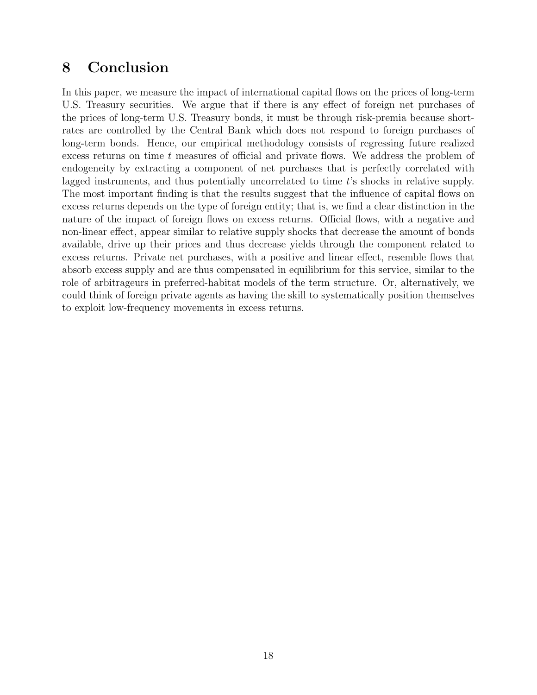## 8 Conclusion

In this paper, we measure the impact of international capital flows on the prices of long-term U.S. Treasury securities. We argue that if there is any effect of foreign net purchases of the prices of long-term U.S. Treasury bonds, it must be through risk-premia because shortrates are controlled by the Central Bank which does not respond to foreign purchases of long-term bonds. Hence, our empirical methodology consists of regressing future realized excess returns on time t measures of official and private flows. We address the problem of endogeneity by extracting a component of net purchases that is perfectly correlated with lagged instruments, and thus potentially uncorrelated to time t's shocks in relative supply. The most important finding is that the results suggest that the influence of capital flows on excess returns depends on the type of foreign entity; that is, we find a clear distinction in the nature of the impact of foreign flows on excess returns. Official flows, with a negative and non-linear effect, appear similar to relative supply shocks that decrease the amount of bonds available, drive up their prices and thus decrease yields through the component related to excess returns. Private net purchases, with a positive and linear effect, resemble flows that absorb excess supply and are thus compensated in equilibrium for this service, similar to the role of arbitrageurs in preferred-habitat models of the term structure. Or, alternatively, we could think of foreign private agents as having the skill to systematically position themselves to exploit low-frequency movements in excess returns.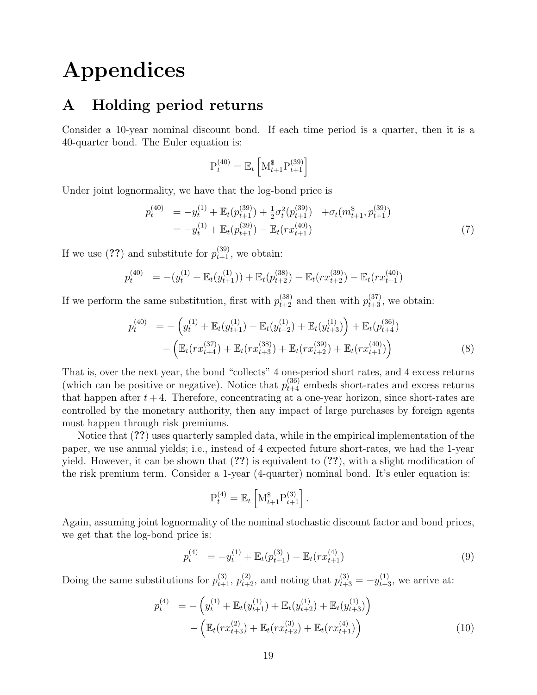# Appendices

## A Holding period returns

Consider a 10-year nominal discount bond. If each time period is a quarter, then it is a 40-quarter bond. The Euler equation is:

$$
P_t^{(40)} = \mathbb{E}_t \left[ M_{t+1}^{\$} P_{t+1}^{(39)} \right]
$$

Under joint lognormality, we have that the log-bond price is

$$
p_t^{(40)} = -y_t^{(1)} + \mathbb{E}_t(p_{t+1}^{(39)}) + \frac{1}{2}\sigma_t^2(p_{t+1}^{(39)}) + \sigma_t(m_{t+1}^s, p_{t+1}^{(39)})
$$
  
= 
$$
-y_t^{(1)} + \mathbb{E}_t(p_{t+1}^{(39)}) - \mathbb{E}_t(rx_{t+1}^{(40)})
$$
 (7)

If we use (??) and substitute for  $p_{t+1}^{(39)}$ , we obtain:

$$
p_t^{(40)} = -(y_t^{(1)} + \mathbb{E}_t(y_{t+1}^{(1)})) + \mathbb{E}_t(p_{t+2}^{(38)}) - \mathbb{E}_t(rx_{t+2}^{(39)}) - \mathbb{E}_t(rx_{t+1}^{(40)})
$$

If we perform the same substitution, first with  $p_{t+2}^{(38)}$  and then with  $p_{t+3}^{(37)}$ , we obtain:

$$
p_t^{(40)} = -\left(y_t^{(1)} + \mathbb{E}_t(y_{t+1}^{(1)}) + \mathbb{E}_t(y_{t+2}^{(1)}) + \mathbb{E}_t(y_{t+3}^{(1)})\right) + \mathbb{E}_t(p_{t+4}^{(36)}) - \left(\mathbb{E}_t(rx_{t+4}^{(37)}) + \mathbb{E}_t(rx_{t+3}^{(38)}) + \mathbb{E}_t(rx_{t+2}^{(39)}) + \mathbb{E}_t(rx_{t+1}^{(40)})\right)
$$
\n(8)

That is, over the next year, the bond "collects" 4 one-period short rates, and 4 excess returns (which can be positive or negative). Notice that  $p_{t+4}^{(36)}$  embeds short-rates and excess returns that happen after  $t + 4$ . Therefore, concentrating at a one-year horizon, since short-rates are controlled by the monetary authority, then any impact of large purchases by foreign agents must happen through risk premiums.

Notice that (??) uses quarterly sampled data, while in the empirical implementation of the paper, we use annual yields; i.e., instead of 4 expected future short-rates, we had the 1-year yield. However, it can be shown that  $(?)$  is equivalent to  $(?)$ , with a slight modification of the risk premium term. Consider a 1-year (4-quarter) nominal bond. It's euler equation is:

$$
P_t^{(4)} = \mathbb{E}_t \left[ M_{t+1}^{\$} P_{t+1}^{(3)} \right].
$$

Again, assuming joint lognormality of the nominal stochastic discount factor and bond prices, we get that the log-bond price is:

$$
p_t^{(4)} = -y_t^{(1)} + \mathbb{E}_t(p_{t+1}^{(3)}) - \mathbb{E}_t(rx_{t+1}^{(4)})
$$
\n(9)

Doing the same substitutions for  $p_{t+1}^{(3)}$ ,  $p_{t+2}^{(2)}$ , and noting that  $p_{t+3}^{(3)} = -y_{t+3}^{(1)}$ , we arrive at:

$$
p_t^{(4)} = -\left(y_t^{(1)} + \mathbb{E}_t(y_{t+1}^{(1)}) + \mathbb{E}_t(y_{t+2}^{(1)}) + \mathbb{E}_t(y_{t+3}^{(1)})\right) - \left(\mathbb{E}_t(rx_{t+3}^{(2)}) + \mathbb{E}_t(rx_{t+2}^{(3)}) + \mathbb{E}_t(rx_{t+1}^{(4)})\right)
$$
(10)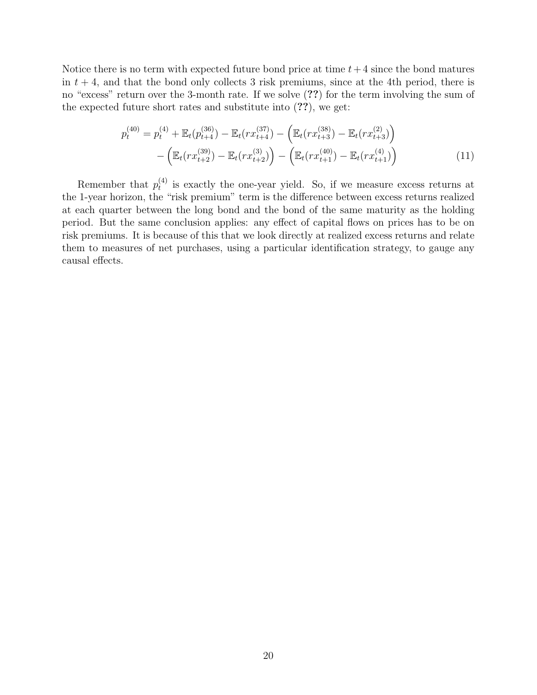Notice there is no term with expected future bond price at time  $t+4$  since the bond matures in  $t + 4$ , and that the bond only collects 3 risk premiums, since at the 4th period, there is no "excess" return over the 3-month rate. If we solve (??) for the term involving the sum of the expected future short rates and substitute into (??), we get:

$$
p_t^{(40)} = p_t^{(4)} + \mathbb{E}_t(p_{t+4}^{(36)}) - \mathbb{E}_t(rx_{t+4}^{(37)}) - \left(\mathbb{E}_t(rx_{t+3}^{(38)}) - \mathbb{E}_t(rx_{t+3}^{(2)})\right) - \left(\mathbb{E}_t(rx_{t+2}^{(39)}) - \mathbb{E}_t(rx_{t+1}^{(40)}) - \mathbb{E}_t(rx_{t+1}^{(40)})\right)
$$
\n(11)

Remember that  $p_t^{(4)}$  $t_t^{(4)}$  is exactly the one-year yield. So, if we measure excess returns at the 1-year horizon, the "risk premium" term is the difference between excess returns realized at each quarter between the long bond and the bond of the same maturity as the holding period. But the same conclusion applies: any effect of capital flows on prices has to be on risk premiums. It is because of this that we look directly at realized excess returns and relate them to measures of net purchases, using a particular identification strategy, to gauge any causal effects.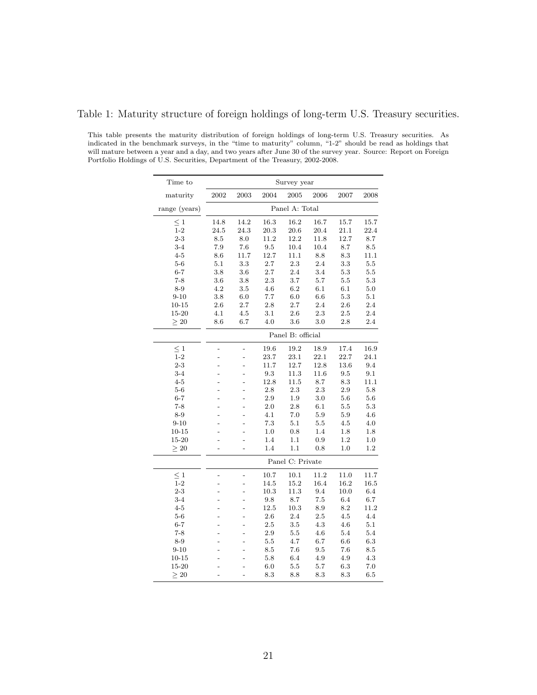|  |  | Table 1: Maturity structure of foreign holdings of long-term U.S. Treasury securities. |  |  |
|--|--|----------------------------------------------------------------------------------------|--|--|
|  |  |                                                                                        |  |  |

This table presents the maturity distribution of foreign holdings of long-term U.S. Treasury securities. As indicated in the benchmark surveys, in the "time to maturity" column, "1-2" should be read as holdings that will mature between a year and a day, and two years after June 30 of the survey year. Source: Report on Foreign Portfolio Holdings of U.S. Securities, Department of the Treasury, 2002-2008.

| Time to       |                   |                |          | Survey year      |         |                 |         |  |  |  |
|---------------|-------------------|----------------|----------|------------------|---------|-----------------|---------|--|--|--|
| maturity      | $\,2002\,$        | 2003           | 2004     | 2005             | 2006    | 2007            | 2008    |  |  |  |
| range (years) |                   |                |          | Panel A: Total   |         |                 |         |  |  |  |
| $\leq 1$      | 14.8              | 14.2           | 16.3     | 16.2             | 16.7    | 15.7            | 15.7    |  |  |  |
| $1 - 2$       | 24.5              | 24.3           | 20.3     | 20.6             | 20.4    | 21.1            | 22.4    |  |  |  |
| $2 - 3$       | 8.5               | 8.0            | 11.2     | 12.2             | 11.8    | 12.7            | 8.7     |  |  |  |
| $3 - 4$       | 7.9               | 7.6            | 9.5      | 10.4             | 10.4    | 8.7             | 8.5     |  |  |  |
| $4 - 5$       | 8.6               | 11.7           | 12.7     | 11.1             | 8.8     | $\!\!\!\!\!8.3$ | 11.1    |  |  |  |
| $5-6$         | 5.1               | $3.3\,$        | $2.7\,$  | $2.3\,$          | 2.4     | $3.3\,$         | $5.5\,$ |  |  |  |
| $6 - 7$       | $3.8\,$           | $3.6\,$        | 2.7      | $2.4\,$          | 3.4     | $5.3\,$         | $5.5\,$ |  |  |  |
| $7 - 8$       | 3.6               | 3.8            | 2.3      | 3.7              | 5.7     | 5.5             | 5.3     |  |  |  |
| $8-9$         | 4.2               | 3.5            | 4.6      | 6.2              | 6.1     | $6.1\,$         | 5.0     |  |  |  |
| $9 - 10$      | $3.8\,$           | $6.0\,$        | 7.7      | 6.0              | 6.6     | 5.3             | 5.1     |  |  |  |
| $10 - 15$     | 2.6               | 2.7            | 2.8      | 2.7              | 2.4     | 2.6             | 2.4     |  |  |  |
| 15-20         | 4.1               | 4.5            | 3.1      | 2.6              | 2.3     | 2.5             | 2.4     |  |  |  |
| $\geq 20$     | 8.6               | 6.7            | 4.0      | 3.6              | 3.0     | 2.8             | 2.4     |  |  |  |
|               | Panel B: official |                |          |                  |         |                 |         |  |  |  |
| $\leq 1$      | $\overline{a}$    | $\overline{a}$ | $19.6\,$ | $19.2\,$         | 18.9    | 17.4            | 16.9    |  |  |  |
| $1 - 2$       | $\overline{a}$    | $\overline{a}$ | 23.7     | 23.1             | 22.1    | 22.7            | 24.1    |  |  |  |
| $2 - 3$       | $\overline{a}$    | $\overline{a}$ | 11.7     | 12.7             | 12.8    | 13.6            | 9.4     |  |  |  |
| $3 - 4$       |                   | $\overline{a}$ | 9.3      | 11.3             | 11.6    | 9.5             | $9.1\,$ |  |  |  |
| $4 - 5$       | $\overline{a}$    | $\overline{a}$ | 12.8     | 11.5             | $8.7\,$ | 8.3             | 11.1    |  |  |  |
| $5-6$         |                   | $\overline{a}$ | 2.8      | 2.3              | 2.3     | 2.9             | 5.8     |  |  |  |
| $6 - 7$       |                   | $\overline{a}$ | 2.9      | 1.9              | 3.0     | 5.6             | 5.6     |  |  |  |
| $7 - 8$       |                   | $\overline{a}$ | 2.0      | 2.8              | 6.1     | 5.5             | 5.3     |  |  |  |
| $8 - 9$       |                   | $\overline{a}$ | 4.1      | $7.0\,$          | 5.9     | $5.9\,$         | 4.6     |  |  |  |
| $9 - 10$      |                   |                | 7.3      | 5.1              | 5.5     | 4.5             | 4.0     |  |  |  |
| $10 - 15$     |                   |                | 1.0      | 0.8              | 1.4     | 1.8             | 1.8     |  |  |  |
| 15-20         |                   |                | 1.4      | 1.1              | 0.9     | 1.2             | 1.0     |  |  |  |
| >20           |                   | $\overline{a}$ | 1.4      | 1.1              | 0.8     | 1.0             | 1.2     |  |  |  |
|               |                   |                |          | Panel C: Private |         |                 |         |  |  |  |
| $\leq 1$      | $\overline{a}$    | $\overline{a}$ | 10.7     | 10.1             | 11.2    | 11.0            | 11.7    |  |  |  |
| $1 - 2$       |                   | $\overline{a}$ | 14.5     | 15.2             | 16.4    | 16.2            | 16.5    |  |  |  |
| $2 - 3$       |                   | $\overline{a}$ | 10.3     | 11.3             | 9.4     | 10.0            | 6.4     |  |  |  |
| $3 - 4$       |                   | $\overline{a}$ | 9.8      | 8.7              | 7.5     | 6.4             | 6.7     |  |  |  |
| $4 - 5$       |                   | $\overline{a}$ | 12.5     | 10.3             | 8.9     | 8.2             | 11.2    |  |  |  |
| $5-6$         |                   |                | 2.6      | 2.4              | 2.5     | $4.5\,$         | 4.4     |  |  |  |
| $6 - 7$       |                   |                | 2.5      | 3.5              | 4.3     | 4.6             | 5.1     |  |  |  |
| $7 - 8$       |                   |                | $2.9\,$  | 5.5              | 4.6     | 5.4             | 5.4     |  |  |  |
| $8-9$         |                   |                | 5.5      | 4.7              | 6.7     | 6.6             | 6.3     |  |  |  |
| $9 - 10$      |                   |                | $8.5\,$  | 7.6              | 9.5     | 7.6             | 8.5     |  |  |  |
| $10 - 15$     |                   |                | 5.8      | 6.4              | 4.9     | 4.9             | 4.3     |  |  |  |
| 15-20         |                   |                | 6.0      | $5.5\,$          | 5.7     | 6.3             | 7.0     |  |  |  |
| $\geq 20$     |                   |                | 8.3      | 8.8              | 8.3     | 8.3             | 6.5     |  |  |  |
|               |                   |                |          |                  |         |                 |         |  |  |  |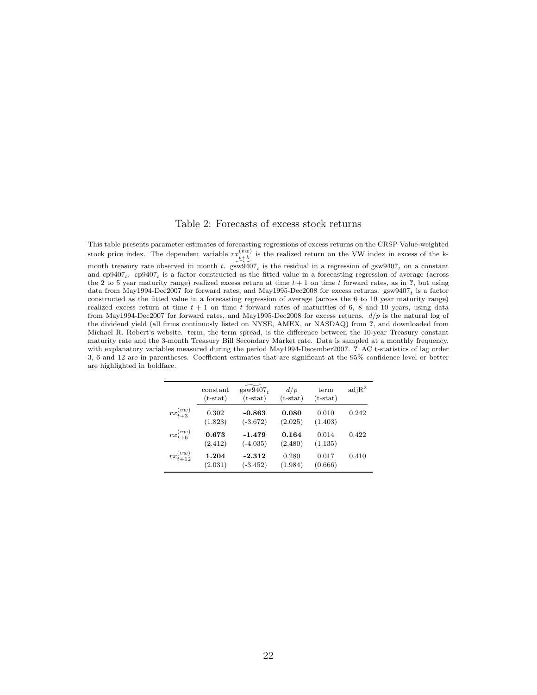#### Table 2: Forecasts of excess stock returns

This table presents parameter estimates of forecasting regressions of excess returns on the CRSP Value-weighted stock price index. The dependent variable  $rx_{t+k}^{(vw)}$  is the realized return on the VW index in excess of the kmonth treasury rate observed in month t.  $\widetilde{\text{gsw9407}}_t$  is the residual in a regression of  $\text{gsw9407}_t$  on a constant and  $cp9407_t$ .  $cp9407_t$  is a factor constructed as the fitted value in a forecasting regression of average (across the 2 to 5 year maturity range) realized excess return at time  $t + 1$  on time t forward rates, as in ?, but using data from May1994-Dec2007 for forward rates, and May1995-Dec2008 for excess returns.  $gsw9407<sub>t</sub>$  is a factor constructed as the fitted value in a forecasting regression of average (across the 6 to 10 year maturity range) realized excess return at time  $t + 1$  on time t forward rates of maturities of 6, 8 and 10 years, using data from May1994-Dec2007 for forward rates, and May1995-Dec2008 for excess returns.  $d/p$  is the natural log of the dividend yield (all firms continuosly listed on NYSE, AMEX, or NASDAQ) from ?, and downloaded from Michael R. Robert's website. term, the term spread, is the difference between the 10-year Treasury constant maturity rate and the 3-month Treasury Bill Secondary Market rate. Data is sampled at a monthly frequency, with explanatory variables measured during the period May1994-December2007. ? AC t-statistics of lag order 3, 6 and 12 are in parentheses. Coefficient estimates that are significant at the 95% confidence level or better are highlighted in boldface.

|                    | constant<br>$(t-stat)$ | $g\overline{\text{s}}\text{w}\overline{\text{9}}\overline{\text{4}}07_t$<br>$(t-stat)$ | d/p<br>$(t-stat)$ | term<br>$(t-stat)$ | $\text{adj} \mathbb{R}^2$ |
|--------------------|------------------------|----------------------------------------------------------------------------------------|-------------------|--------------------|---------------------------|
| $rx_{t+3}^{(vw)}$  | 0.302<br>(1.823)       | $-0.863$<br>$(-3.672)$                                                                 | 0.080<br>(2.025)  | 0.010<br>(1.403)   | 0.242                     |
| $rx_{t+6}^{(vw)}$  | 0.673<br>(2.412)       | $-1.479$<br>$(-4.035)$                                                                 | 0.164<br>(2.480)  | 0.014<br>(1.135)   | 0.422                     |
| $rx_{t+12}^{(vw)}$ | 1.204<br>(2.031)       | -2.312<br>$(-3.452)$                                                                   | 0.280<br>(1.984)  | 0.017<br>(0.666)   | 0.410                     |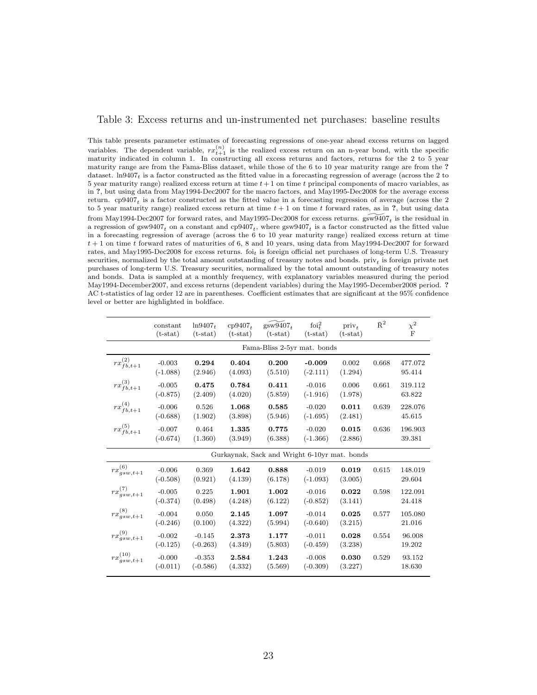#### Table 3: Excess returns and un-instrumented net purchases: baseline results

This table presents parameter estimates of forecasting regressions of one-year ahead excess returns on lagged variables. The dependent variable,  $rx_{t+1}^{(n)}$  is the realized excess return on an n-year bond, with the specific maturity indicated in column 1. In constructing all excess returns and factors, returns for the 2 to 5 year maturity range are from the Fama-Bliss dataset, while those of the 6 to 10 year maturity range are from the ? dataset.  $\ln 9407_t$  is a factor constructed as the fitted value in a forecasting regression of average (across the 2 to 5 year maturity range) realized excess return at time  $t + 1$  on time t principal components of macro variables, as in ?, but using data from May1994-Dec2007 for the macro factors, and May1995-Dec2008 for the average excess return.  $cp9407<sub>t</sub>$  is a factor constructed as the fitted value in a forecasting regression of average (across the 2 to 5 year maturity range) realized excess return at time  $t + 1$  on time t forward rates, as in ?, but using data from May1994-Dec2007 for forward rates, and May1995-Dec2008 for excess returns.  $\widetilde{\text{gsw9407}}_t$  is the residual in a regression of  $gsw9407_t$  on a constant and  $cp9407_t$ , where  $gsw9407_t$  is a factor constructed as the fitted value in a forecasting regression of average (across the 6 to 10 year maturity range) realized excess return at time  $t + 1$  on time t forward rates of maturities of 6, 8 and 10 years, using data from May1994-Dec2007 for forward rates, and May1995-Dec2008 for excess returns. foit is foreign official net purchases of long-term U.S. Treasury securities, normalized by the total amount outstanding of treasury notes and bonds. priv<sub>t</sub> is foreign private net purchases of long-term U.S. Treasury securities, normalized by the total amount outstanding of treasury notes and bonds. Data is sampled at a monthly frequency, with explanatory variables measured during the period May1994-December2007, and excess returns (dependent variables) during the May1995-December2008 period. ? AC t-statistics of lag order 12 are in parentheses. Coefficient estimates that are significant at the 95% confidence level or better are highlighted in boldface.

|                       | constant<br>$(t-stat)$ | $ln9407_t$<br>$(t-stat)$ | $cp9407_{+}$<br>$(t-stat)$ | $gsw9407_{+}$<br>$(t-stat)$                  | foi $^2_t$<br>$(t-stat)$ | priv <sub>t</sub><br>$(t-stat)$ | $\bar{\text{R}}^2$ | $\chi^2$<br>F     |
|-----------------------|------------------------|--------------------------|----------------------------|----------------------------------------------|--------------------------|---------------------------------|--------------------|-------------------|
|                       |                        |                          |                            | Fama-Bliss 2-5yr mat. bonds                  |                          |                                 |                    |                   |
| $rx_{fb,t+1}^{(2)}$   | $-0.003$<br>$(-1.088)$ | 0.294<br>(2.946)         | 0.404<br>(4.093)           | 0.200<br>(5.510)                             | $-0.009$<br>$(-2.111)$   | 0.002<br>(1.294)                | 0.668              | 477.072<br>95.414 |
| $rx_{fb,t+1}^{(3)}$   | $-0.005$<br>$(-0.875)$ | 0.475<br>(2.409)         | 0.784<br>(4.020)           | 0.411<br>(5.859)                             | $-0.016$<br>$(-1.916)$   | 0.006<br>(1.978)                | 0.661              | 319.112<br>63.822 |
| $rx_{fb,t+1}^{(4)}$   | $-0.006$<br>$(-0.688)$ | 0.526<br>(1.902)         | 1.068<br>(3.898)           | 0.585<br>(5.946)                             | $-0.020$<br>$(-1.695)$   | 0.011<br>(2.481)                | 0.639              | 228.076<br>45.615 |
| $rx_{fb,t+1}^{(5)}$   | $-0.007$<br>$(-0.674)$ | 0.464<br>(1.360)         | 1.335<br>(3.949)           | 0.775<br>(6.388)                             | $-0.020$<br>$(-1.366)$   | 0.015<br>(2.886)                | 0.636              | 196.903<br>39.381 |
|                       |                        |                          |                            | Gurkaynak, Sack and Wright 6-10yr mat. bonds |                          |                                 |                    |                   |
| $rx_{gsw,t+1}^{(6)}$  | $-0.006$<br>$(-0.508)$ | 0.369<br>(0.921)         | 1.642<br>(4.139)           | 0.888<br>(6.178)                             | $-0.019$<br>$(-1.093)$   | 0.019<br>(3.005)                | 0.615              | 148.019<br>29.604 |
| $rx_{gsw,t+1}^{(7)}$  | $-0.005$<br>$(-0.374)$ | 0.225<br>(0.498)         | 1.901<br>(4.248)           | 1.002<br>(6.122)                             | $-0.016$<br>$(-0.852)$   | 0.022<br>(3.141)                | 0.598              | 122.091<br>24.418 |
| $rx_{gsw,t+1}^{(8)}$  | $-0.004$<br>$(-0.246)$ | 0.050<br>(0.100)         | 2.145<br>(4.322)           | 1.097<br>(5.994)                             | $-0.014$<br>$(-0.640)$   | 0.025<br>(3.215)                | 0.577              | 105.080<br>21.016 |
| $rx_{gsw,t+1}^{(9)}$  | $-0.002$<br>$(-0.125)$ | $-0.145$<br>$(-0.263)$   | 2.373<br>(4.349)           | 1.177<br>(5.803)                             | $-0.011$<br>$(-0.459)$   | 0.028<br>(3.238)                | 0.554              | 96.008<br>19.202  |
| $rx_{gsw,t+1}^{(10)}$ | $-0.000$<br>$(-0.011)$ | $-0.353$<br>$(-0.586)$   | 2.584<br>(4.332)           | 1.243<br>(5.569)                             | $-0.008$<br>$(-0.309)$   | 0.030<br>(3.227)                | 0.529              | 93.152<br>18.630  |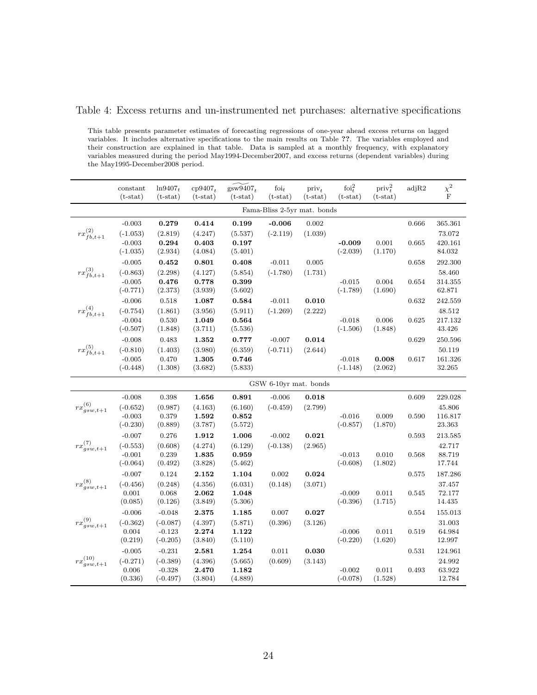#### Table 4: Excess returns and un-instrumented net purchases: alternative specifications

This table presents parameter estimates of forecasting regressions of one-year ahead excess returns on lagged variables. It includes alternative specifications to the main results on Table ??. The variables employed and their construction are explained in that table. Data is sampled at a monthly frequency, with explanatory variables measured during the period May1994-December2007, and excess returns (dependent variables) during the May1995-December2008 period.

|                       | constant<br>$(t-stat)$ | $ln9407_t$<br>$(t-stat)$ | $cp9407_t$<br>$(t-stat)$ | $\widetilde{\text{gsw9407}}_t$<br>$(t-stat)$ | foi $_t$<br>$(t-stat)$      | priv <sub>+</sub><br>$(t-stat)$ | foi $_i^2$<br>$(t-stat)$ | $\text{priv}_{t}^{2}$<br>$(t-stat)$ | adjR2 | $\chi^2$<br>F     |
|-----------------------|------------------------|--------------------------|--------------------------|----------------------------------------------|-----------------------------|---------------------------------|--------------------------|-------------------------------------|-------|-------------------|
|                       |                        |                          |                          |                                              | Fama-Bliss 2-5yr mat. bonds |                                 |                          |                                     |       |                   |
| $rx_{fb,t+1}^{(2)}$   | $-0.003$<br>$(-1.053)$ | 0.279<br>(2.819)         | 0.414<br>(4.247)         | 0.199<br>(5.537)                             | $-0.006$<br>$(-2.119)$      | 0.002<br>(1.039)                |                          |                                     | 0.666 | 365.361<br>73.072 |
|                       | $-0.003$<br>$(-1.035)$ | 0.294<br>(2.934)         | 0.403<br>(4.084)         | 0.197<br>(5.401)                             |                             |                                 | $-0.009$<br>$(-2.039)$   | 0.001<br>(1.170)                    | 0.665 | 420.161<br>84.032 |
|                       | $-0.005$               | 0.452                    | 0.801                    | 0.408                                        | $-0.011$                    | 0.005                           |                          |                                     | 0.658 | 292.300           |
| $rx_{fb,t+1}^{(3)}$   | $(-0.863)$<br>$-0.005$ | (2.298)<br>0.476         | (4.127)<br>0.778         | (5.854)<br>0.399                             | $(-1.780)$                  | (1.731)                         | $-0.015$                 | 0.004                               | 0.654 | 58.460<br>314.355 |
|                       | $(-0.771)$             | (2.373)                  | (3.939)                  | (5.602)                                      |                             |                                 | $(-1.789)$               | (1.690)                             |       | 62.871            |
|                       | $-0.006$               | 0.518                    | 1.087                    | 0.584                                        | $-0.011$                    | 0.010                           |                          |                                     | 0.632 | 242.559           |
| $rx_{fb,t+1}^{(4)}$   | $(-0.754)$             | (1.861)                  | (3.956)                  | (5.911)                                      | $(-1.269)$                  | (2.222)                         |                          |                                     |       | 48.512            |
|                       | $-0.004$<br>$(-0.507)$ | 0.530<br>(1.848)         | 1.049<br>(3.711)         | $\bf 0.564$<br>(5.536)                       |                             |                                 | $-0.018$<br>$(-1.506)$   | 0.006<br>(1.848)                    | 0.625 | 217.132<br>43.426 |
|                       | $-0.008$               | 0.483                    | 1.352                    | 0.777                                        | $-0.007$                    | 0.014                           |                          |                                     | 0.629 | 250.596           |
| $rx_{fb,t+1}^{(5)}$   | $(-0.810)$             | (1.403)                  | (3.980)                  | (6.359)                                      | $(-0.711)$                  | (2.644)                         |                          |                                     |       | 50.119            |
|                       | $-0.005$<br>$(-0.448)$ | 0.470<br>(1.308)         | 1.305<br>(3.682)         | 0.746<br>(5.833)                             |                             |                                 | $-0.018$<br>$(-1.148)$   | 0.008<br>(2.062)                    | 0.617 | 161.326<br>32.265 |
| GSW 6-10yr mat. bonds |                        |                          |                          |                                              |                             |                                 |                          |                                     |       |                   |
|                       | $-0.008$               | 0.398                    | 1.656                    | 0.891                                        | $-0.006$                    | 0.018                           |                          |                                     | 0.609 | 229.028           |
| $rx_{gsw,t+1}^{(6)}$  | $(-0.652)$             | (0.987)                  | (4.163)                  | (6.160)                                      | $(-0.459)$                  | (2.799)                         |                          |                                     |       | 45.806            |
|                       | $-0.003$<br>$(-0.230)$ | 0.379<br>(0.889)         | 1.592<br>(3.787)         | 0.852<br>(5.572)                             |                             |                                 | $-0.016$<br>$(-0.857)$   | 0.009<br>(1.870)                    | 0.590 | 116.817<br>23.363 |
|                       | $-0.007$               | 0.276                    | 1.912                    | 1.006                                        | $-0.002$                    | 0.021                           |                          |                                     | 0.593 | 213.585           |
| $rx_{gsw,t+1}^{(7)}$  | $(-0.553)$             | (0.608)                  | (4.274)                  | (6.129)                                      | $(-0.138)$                  | (2.965)                         |                          |                                     |       | 42.717            |
|                       | $-0.001$<br>$(-0.064)$ | 0.239<br>(0.492)         | 1.835<br>(3.828)         | 0.959<br>(5.462)                             |                             |                                 | $-0.013$<br>$(-0.608)$   | 0.010<br>(1.802)                    | 0.568 | 88.719<br>17.744  |
|                       | $-0.007$               | $\rm 0.124$              | $\bf 2.152$              | 1.104                                        | $\,0.002\,$                 | 0.024                           |                          |                                     | 0.575 | 187.286           |
| $rx_{gsw,t+1}^{(8)}$  | $(-0.456)$             | (0.248)                  | (4.356)                  | (6.031)                                      | (0.148)                     | (3.071)                         |                          |                                     |       | 37.457            |
|                       | $0.001\,$              | 0.068                    | 2.062                    | 1.048                                        |                             |                                 | $-0.009$                 | 0.011                               | 0.545 | 72.177            |
|                       | (0.085)                | (0.126)                  | (3.849)                  | (5.306)                                      |                             |                                 | $(-0.396)$               | (1.715)                             |       | 14.435            |
|                       | $-0.006$               | $-0.048$                 | 2.375                    | 1.185                                        | 0.007                       | 0.027                           |                          |                                     | 0.554 | 155.013           |
| $rx_{gsw,t+1}^{(9)}$  | $(-0.362)$<br>0.004    | $(-0.087)$<br>$-0.123$   | (4.397)<br>2.274         | (5.871)<br>1.122                             | (0.396)                     | (3.126)                         | $-0.006$                 | 0.011                               | 0.519 | 31.003<br>64.984  |
|                       | (0.219)                | $(-0.205)$               | (3.840)                  | (5.110)                                      |                             |                                 | $(-0.220)$               | (1.620)                             |       | 12.997            |
|                       | $-0.005$               | $-0.231$                 | 2.581                    | 1.254                                        | 0.011                       | 0.030                           |                          |                                     | 0.531 | 124.961           |
| $rx_{gsw,t+1}^{(10)}$ | $(-0.271)$             | $(-0.389)$               | (4.396)                  | (5.665)                                      | (0.609)                     | (3.143)                         |                          |                                     |       | 24.992            |
|                       | 0.006<br>(0.336)       | $-0.328$<br>$(-0.497)$   | 2.470<br>(3.804)         | 1.182<br>(4.889)                             |                             |                                 | $-0.002$<br>$(-0.078)$   | 0.011<br>(1.528)                    | 0.493 | 63.922<br>12.784  |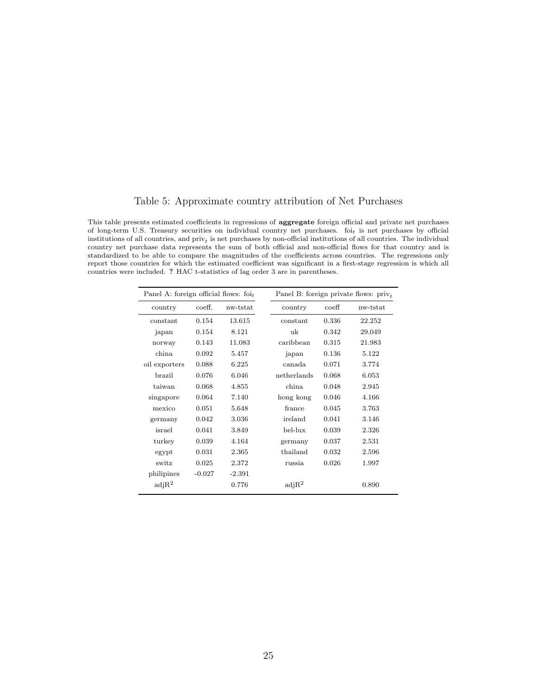#### Table 5: Approximate country attribution of Net Purchases

This table presents estimated coefficients in regressions of aggregate foreign official and private net purchases of long-term U.S. Treasury securities on individual country net purchases.  $f_{0i}$  is net purchases by official institutions of all countries, and  $\text{priv}_t$  is net purchases by non-official institutions of all countries. The individual country net purchase data represents the sum of both official and non-official flows for that country and is standardized to be able to compare the magnitudes of the coefficients across countries. The regressions only report those countries for which the estimated coefficient was significant in a first-stage regression is which all countries were included. ? HAC t-statistics of lag order 3 are in parentheses.

| Panel A: foreign official flows: $foi_t$ |          |          | Panel B: foreign private flows: $priv_t$ |                  |          |  |  |
|------------------------------------------|----------|----------|------------------------------------------|------------------|----------|--|--|
| country                                  | coeff.   | nw-tstat | country                                  | $\mathrm{coeff}$ | nw-tstat |  |  |
| constant                                 | 0.154    | 13.615   | constant                                 | 0.336            | 22.252   |  |  |
| japan                                    | 0.154    | 8.121    | uk                                       | 0.342            | 29.049   |  |  |
| norway                                   | 0.143    | 11.083   | caribbean                                | 0.315            | 21.983   |  |  |
| china                                    | 0.092    | 5.457    | japan                                    | 0.136            | 5.122    |  |  |
| oil exporters                            | 0.088    | 6.225    | canada                                   | 0.071            | 3.774    |  |  |
| brazil                                   | 0.076    | 6.046    | netherlands                              | 0.068            | 6.053    |  |  |
| taiwan                                   | 0.068    | 4.855    | china.                                   | 0.048            | 2.945    |  |  |
| singapore                                | 0.064    | 7.140    | hong kong                                | 0.046            | 4.166    |  |  |
| mexico                                   | 0.051    | 5.648    | france                                   | 0.045            | 3.763    |  |  |
| germany                                  | 0.042    | 3.036    | ireland                                  | 0.041            | 3.146    |  |  |
| israel                                   | 0.041    | 3.849    | bel-lux                                  | 0.039            | 2.326    |  |  |
| turkey                                   | 0.039    | 4.164    | germany                                  | 0.037            | 2.531    |  |  |
| egypt                                    | 0.031    | 2.365    | thailand                                 | 0.032            | 2.596    |  |  |
| switz                                    | 0.025    | 2.372    | russia                                   | 0.026            | 1.997    |  |  |
| philipines                               | $-0.027$ | $-2.391$ |                                          |                  |          |  |  |
| $\text{adj} \mathbb{R}^2$                |          | 0.776    | adjR <sup>2</sup>                        |                  | 0.890    |  |  |
|                                          |          |          |                                          |                  |          |  |  |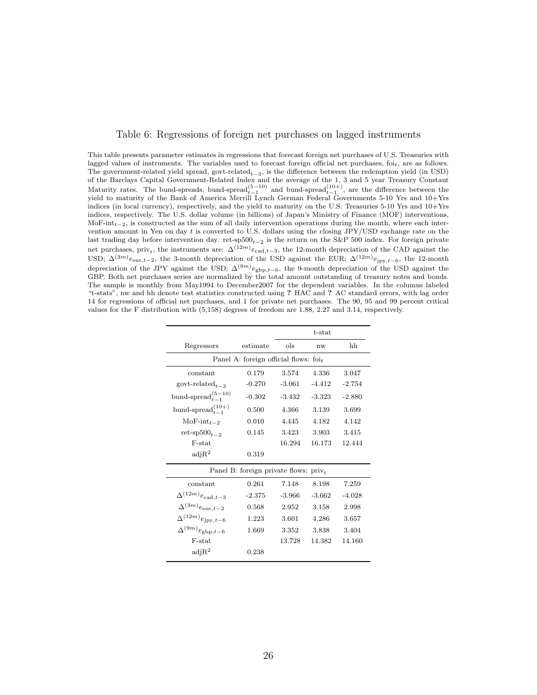|  |  | Table 6: Regressions of foreign net purchases on lagged instruments |
|--|--|---------------------------------------------------------------------|
|  |  |                                                                     |

This table presents parameter estimates in regressions that forecast foreign net purchases of U.S. Treasuries with lagged values of instruments. The variables used to forecast foreign official net purchases, foit, are as follows. The government-related yield spread, govt-related<sub>t−3</sub>, is the difference between the redemption yield (in USD) of the Barclays Capital Government-Related Index and the average of the 1, 3 and 5 year Treasury Constant Maturity rates. The bund-spreads, bund-spread $_{t-1}^{(5-10)}$  and bund-spread $_{t-1}^{(10+)}$ , are the difference between the yield to maturity of the Bank of America Merrill Lynch German Federal Governments 5-10 Yrs and 10+Yrs indices (in local currency), respectively, and the yield to maturity on the U.S. Treasuries  $5-10$  Yrs and  $10+\text{Yrs}$ indices, respectively. The U.S. dollar volume (in billions) of Japan's Ministry of Finance (MOF) interventions, MoF-int $t_{t-2}$ , is constructed as the sum of all daily intervention operations during the month, where each intervention amount in Yen on day t is converted to U.S. dollars using the closing JPY/USD exchange rate on the last trading day before intervention day. ret-sp500<sub>t−2</sub> is the return on the S&P 500 index. For foreign private net purchases, priv<sub>t</sub>, the instruments are:  $\Delta^{(12m)}e_{\text{cad},t-3}$ , the 12-month depreciation of the CAD against the USD;  $\Delta^{(3m)}e_{\text{eur},t-2}$ , the 3-month depreciation of the USD against the EUR;  $\Delta^{(12m)}e_{\text{ipy},t-6}$ , the 12-month depreciation of the JPY against the USD;  $\Delta^{(9m)}e_{gbp,t-6}$ , the 9-month depreciation of the USD against the GBP. Both net purchases series are normalized by the total amount outstanding of treasury notes and bonds. The sample is monthly from May1994 to December2007 for the dependent variables. In the columns labeled "t-stats", nw and hh denote test statistics constructed using ? HAC and ? AC standard errors, with lag order 14 for regressions of official net purchases, and 1 for private net purchases. The 90, 95 and 99 percent critical values for the F distribution with (5,158) degrees of freedom are 1.88, 2.27 and 3.14, respectively.

|                                          |                                          | t-stat   |          |          |  |  |
|------------------------------------------|------------------------------------------|----------|----------|----------|--|--|
| Regressors                               | estimate                                 | ols      | nw       | hh       |  |  |
|                                          | Panel A: foreign official flows: $foi_t$ |          |          |          |  |  |
| constant                                 | 0.179                                    | 3.574    | 4.336    | 3.047    |  |  |
| govt-related <sub><math>t=3</math></sub> | $-0.270$                                 | $-3.061$ | $-4.412$ | $-2.754$ |  |  |
| bund-spread $\binom{5-10}{t-1}$          | $-0.302$                                 | $-3.432$ | $-3.323$ | $-2.880$ |  |  |
| bund-spread $_{t-1}^{(10+)}$             | 0.500                                    | 4.366    | 3.139    | 3.699    |  |  |
| $MoF-int_{t-2}$                          | 0.010                                    | 4.445    | 4.182    | 4.142    |  |  |
| ret-sp $500_{t-2}$                       | 0.145                                    | 3.423    | 3.903    | 3.415    |  |  |
| F-stat                                   |                                          | 16.294   | 16.173   | 12.444   |  |  |
| $\text{adj} \mathbb{R}^2$                | 0.319                                    |          |          |          |  |  |
|                                          | Panel B: foreign private flows: $privt$  |          |          |          |  |  |
| constant                                 | 0.261                                    | 7.148    | 8.198    | 7.259    |  |  |
| $\Delta^{(12m)} e_{\text{cad},t-3}$      | $-2.375$                                 | $-3.966$ | $-3.662$ | $-4.028$ |  |  |
| $\Delta^{(3m)} e_{\text{eur},t-2}$       | 0.568                                    | 2.952    | 3.158    | 2.998    |  |  |
| $\Delta^{(12m)}e_{\text{ipy},t-6}$       | 1.223                                    | 3.601    | 4.286    | 3.657    |  |  |
| $\Delta^{(9m)}e_{\text{gbp},t-6}$        | 1.669                                    | 3.352    | 3.838    | 3.404    |  |  |
| F-stat                                   |                                          | 13.728   | 14.382   | 14.160   |  |  |
| $\text{adj} \mathbb{R}^2$                | 0.238                                    |          |          |          |  |  |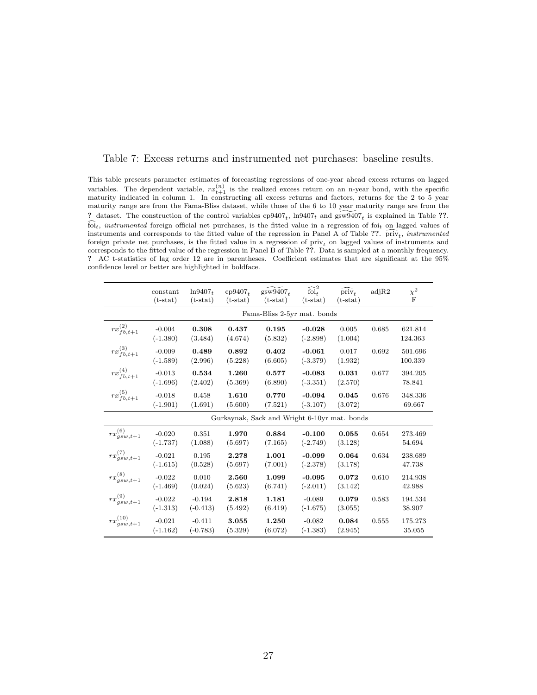| Table 7: Excess returns and instrumented net purchases: baseline results. |  |
|---------------------------------------------------------------------------|--|
|---------------------------------------------------------------------------|--|

This table presents parameter estimates of forecasting regressions of one-year ahead excess returns on lagged variables. The dependent variable,  $rx_{t+1}^{(n)}$  is the realized excess return on an n-year bond, with the specific maturity indicated in column 1. In constructing all excess returns and factors, returns for the 2 to 5 yea maturity range are from the Fama-Bliss dataset, while those of the 6 to 10 year maturity range are from the ? dataset. The construction of the control variables  $cp9407_t$ ,  $ln9407_t$  and  $g\widetilde{sw9407}_t$  is explained in Table ??.  $\widehat{f}$ <sub>t</sub>, *instrumented* foreign official net purchases, is the fitted value in a regression of foi<sub>t</sub> on lagged values of instruments and corresponds to the fitted value of the regression in Panel A of Table ??.  $\text{priv}_t$ , instrumented foreign private net purchases, is the fitted value in a regression of priv<sub>t</sub> on lagged values of instruments and corresponds to the fitted value of the regression in Panel B of Table ??. Data is sampled at a monthly frequency. ? AC t-statistics of lag order 12 are in parentheses. Coefficient estimates that are significant at the 95% confidence level or better are highlighted in boldface.

|                       | constant<br>$(t-stat)$ | $ln9407_t$<br>$(t-stat)$ | $cp9407_{t}$<br>$(t-stat)$ | $gsw9407_t$<br>$(t-stat)$                    | $\widehat{\text{foi}}_t^2$<br>$(t-stat)$ | $\widehat{\text{priv}_{t}}$<br>$(t-stat)$ | adjR2 | $\chi^2$<br>$_{\rm F}$ |
|-----------------------|------------------------|--------------------------|----------------------------|----------------------------------------------|------------------------------------------|-------------------------------------------|-------|------------------------|
|                       |                        |                          |                            | Fama-Bliss 2-5yr mat. bonds                  |                                          |                                           |       |                        |
| $rx_{fb,t+1}^{(2)}$   | $-0.004$<br>$(-1.380)$ | 0.308<br>(3.484)         | 0.437<br>(4.674)           | 0.195<br>(5.832)                             | $-0.028$<br>$(-2.898)$                   | 0.005<br>(1.004)                          | 0.685 | 621.814<br>124.363     |
| $rx_{fb,t+1}^{(3)}$   | $-0.009$<br>$(-1.589)$ | 0.489<br>(2.996)         | 0.892<br>(5.228)           | 0.402<br>(6.605)                             | $-0.061$<br>$(-3.379)$                   | 0.017<br>(1.932)                          | 0.692 | 501.696<br>100.339     |
| $rx_{fb,t+1}^{(4)}$   | $-0.013$<br>$(-1.696)$ | 0.534<br>(2.402)         | 1.260<br>(5.369)           | 0.577<br>(6.890)                             | $-0.083$<br>$(-3.351)$                   | 0.031<br>(2.570)                          | 0.677 | 394.205<br>78.841      |
| $rx_{fb,t+1}^{(5)}$   | $-0.018$<br>$(-1.901)$ | 0.458<br>(1.691)         | 1.610<br>(5.600)           | 0.770<br>(7.521)                             | $-0.094$<br>$(-3.107)$                   | 0.045<br>(3.072)                          | 0.676 | 348.336<br>69.667      |
|                       |                        |                          |                            | Gurkaynak, Sack and Wright 6-10yr mat. bonds |                                          |                                           |       |                        |
| $rx_{gsw,t+1}^{(6)}$  | $-0.020$<br>$(-1.737)$ | 0.351<br>(1.088)         | 1.970<br>(5.697)           | 0.884<br>(7.165)                             | $-0.100$<br>$(-2.749)$                   | 0.055<br>(3.128)                          | 0.654 | 273.469<br>54.694      |
| $rx_{gsw,t+1}^{(7)}$  | $-0.021$<br>$(-1.615)$ | 0.195<br>(0.528)         | 2.278<br>(5.697)           | 1.001<br>(7.001)                             | $-0.099$<br>$(-2.378)$                   | 0.064<br>(3.178)                          | 0.634 | 238.689<br>47.738      |
| $rx_{gsw,t+1}^{(8)}$  | $-0.022$<br>$(-1.469)$ | 0.010<br>(0.024)         | 2.560<br>(5.623)           | 1.099<br>(6.741)                             | $-0.095$<br>$(-2.011)$                   | 0.072<br>(3.142)                          | 0.610 | 214.938<br>42.988      |
| $rx_{gsw,t+1}^{(9)}$  | $-0.022$<br>$(-1.313)$ | $-0.194$<br>$(-0.413)$   | 2.818<br>(5.492)           | 1.181<br>(6.419)                             | $-0.089$<br>$(-1.675)$                   | 0.079<br>(3.055)                          | 0.583 | 194.534<br>38.907      |
| $rx_{gsw,t+1}^{(10)}$ | $-0.021$<br>$(-1.162)$ | $-0.411$<br>$(-0.783)$   | 3.055<br>(5.329)           | 1.250<br>(6.072)                             | $-0.082$<br>$(-1.383)$                   | 0.084<br>(2.945)                          | 0.555 | 175.273<br>35.055      |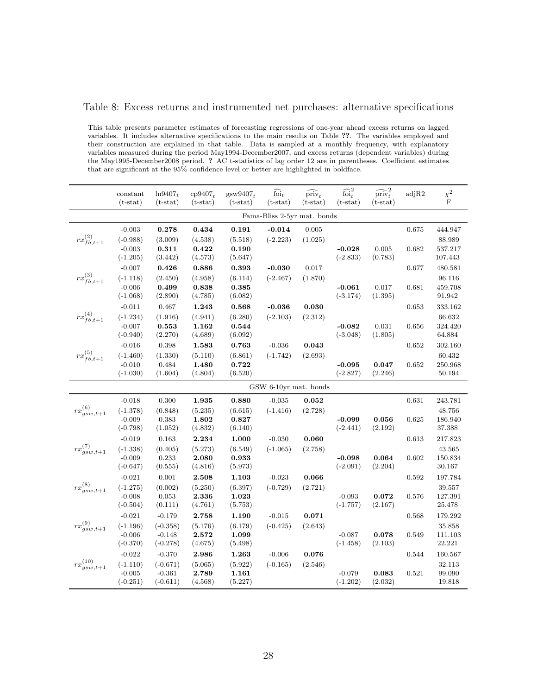#### Table 8: Excess returns and instrumented net purchases: alternative specifications

This table presents parameter estimates of forecasting regressions of one-year ahead excess returns on lagged variables. It includes alternative specifications to the main results on Table ??. The variables employed and their construction are explained in that table. Data is sampled at a monthly frequency, with explanatory variables measured during the period May1994-December2007, and excess returns (dependent variables) during the May1995-December2008 period. ? AC t-statistics of lag order 12 are in parentheses. Coefficient estimates that are significant at the 95% confidence level or better are highlighted in boldface.

|                       | constant<br>$(t-stat)$ | $ln9407_t$<br>$(t-stat)$ | $cp9407_t$<br>$(t-stat)$ | $gsw9407_t$<br>$(t-stat)$ | foi <sub>t</sub><br>$(t-stat)$ | $\text{priv}_t$<br>$(t-stat)$ | $\widehat{\text{foi}}_t^2$<br>$(t-stat)$ | $\widehat{\text{priv}}_t^2$<br>$(t-stat)$ | adjR2 | $\chi^2\atop F$    |
|-----------------------|------------------------|--------------------------|--------------------------|---------------------------|--------------------------------|-------------------------------|------------------------------------------|-------------------------------------------|-------|--------------------|
|                       |                        |                          |                          |                           | Fama-Bliss 2-5yr mat. bonds    |                               |                                          |                                           |       |                    |
|                       | $-0.003$               | 0.278                    | 0.434                    | 0.191                     | $-0.014$                       | 0.005                         |                                          |                                           | 0.675 | 444.947            |
| $rx_{fb,t+1}^{(2)}$   | $(-0.988)$             | (3.009)                  | (4.538)                  | (5.518)                   | $(-2.223)$                     | (1.025)                       |                                          |                                           |       | 88.989             |
|                       | $-0.003$<br>$(-1.205)$ | 0.311<br>(3.442)         | 0.422<br>(4.573)         | 0.190<br>(5.647)          |                                |                               | $-0.028$<br>$(-2.833)$                   | 0.005<br>(0.783)                          | 0.682 | 537.217<br>107.443 |
|                       | $-0.007$               | 0.426                    | 0.886                    | 0.393                     | $-0.030$                       | 0.017                         |                                          |                                           | 0.677 | 480.581            |
| $rx_{fb,t+1}^{(3)}$   | $(-1.118)$             | (2.450)                  | (4.958)                  | (6.114)                   | $(-2.467)$                     | (1.870)                       |                                          |                                           |       | 96.116             |
|                       | $-0.006$               | 0.499                    | 0.838                    | 0.385                     |                                |                               | $-0.061$                                 | 0.017                                     | 0.681 | 459.708            |
|                       | $(-1.068)$             | (2.890)                  | (4.785)                  | (6.082)                   |                                |                               | $(-3.174)$                               | (1.395)                                   |       | 91.942             |
|                       | $-0.011$               | 0.467                    | 1.243                    | 0.568                     | $-0.036$                       | 0.030                         |                                          |                                           | 0.653 | 333.162            |
| $rx_{fb,t+1}^{(4)}$   | $(-1.234)$             | (1.916)                  | (4.941)                  | (6.280)                   | $(-2.103)$                     | (2.312)                       |                                          |                                           |       | 66.632             |
|                       | $-0.007$<br>$(-0.940)$ | 0.553<br>(2.270)         | 1.162<br>(4.689)         | 0.544<br>(6.092)          |                                |                               | $-0.082$<br>$(-3.048)$                   | $\,0.031\,$<br>(1.805)                    | 0.656 | 324.420<br>64.884  |
|                       | $-0.016$               | 0.398                    | 1.583                    | 0.763                     | $-0.036$                       | 0.043                         |                                          |                                           | 0.652 | 302.160            |
| $rx_{fb,t+1}^{(5)}$   | $(-1.460)$             | (1.330)                  | (5.110)                  | (6.861)                   | $(-1.742)$                     | (2.693)                       |                                          |                                           |       | 60.432             |
|                       | $-0.010$               | 0.484                    | 1.480                    | 0.722                     |                                |                               | $-0.095$                                 | 0.047                                     | 0.652 | 250.968            |
|                       | $(-1.030)$             | (1.604)                  | (4.804)                  | (6.520)                   |                                |                               | $(-2.827)$                               | (2.246)                                   |       | 50.194             |
|                       |                        |                          |                          |                           | GSW 6-10yr mat. bonds          |                               |                                          |                                           |       |                    |
|                       | $-0.018$               | 0.300                    | 1.935                    | 0.880                     | $-0.035$                       | 0.052                         |                                          |                                           | 0.631 | 243.781            |
| $rx_{gsw,t+1}^{(6)}$  | $(-1.378)$             | (0.848)                  | (5.235)                  | (6.615)                   | $(-1.416)$                     | (2.728)                       |                                          |                                           |       | 48.756             |
|                       | $-0.009$               | 0.383                    | 1.802                    | 0.827                     |                                |                               | $-0.099$                                 | 0.056                                     | 0.625 | 186.940            |
|                       | $(-0.798)$<br>$-0.019$ | (1.052)                  | (4.832)                  | (6.140)                   |                                | 0.060                         | $(-2.441)$                               | (2.192)                                   |       | 37.388             |
| $rx_{gsw,t+1}^{(7)}$  | $(-1.338)$             | 0.163<br>(0.405)         | 2.234<br>(5.273)         | 1.000<br>(6.549)          | $-0.030$<br>$(-1.065)$         | (2.758)                       |                                          |                                           | 0.613 | 217.823<br>43.565  |
|                       | $-0.009$               | 0.233                    | 2.080                    | 0.933                     |                                |                               | $-0.098$                                 | 0.064                                     | 0.602 | 150.834            |
|                       | $(-0.647)$             | (0.555)                  | (4.816)                  | (5.973)                   |                                |                               | $(-2.091)$                               | (2.204)                                   |       | 30.167             |
|                       | $-0.021$               | $0.001\,$                | 2.508                    | 1.103                     | $-0.023$                       | 0.066                         |                                          |                                           | 0.592 | 197.784            |
| $rx_{gsw,t+1}^{(8)}$  | $(-1.275)$             | (0.002)                  | (5.250)                  | (6.397)                   | $(-0.729)$                     | (2.721)                       |                                          |                                           |       | 39.557             |
|                       | $-0.008$<br>$(-0.504)$ | 0.053<br>(0.111)         | 2.336<br>(4.761)         | 1.023<br>(5.753)          |                                |                               | $-0.093$<br>$(-1.757)$                   | 0.072<br>(2.167)                          | 0.576 | 127.391<br>25.478  |
|                       | $-0.021$               | $-0.179$                 | 2.758                    | 1.190                     | $-0.015$                       | 0.071                         |                                          |                                           | 0.568 | 179.292            |
| $rx_{gsw,t+1}^{(9)}$  | $(-1.196)$             | $(-0.358)$               | (5.176)                  | (6.179)                   | $(-0.425)$                     | (2.643)                       |                                          |                                           |       | 35.858             |
|                       | $-0.006$               | $-0.148$                 | 2.572                    | 1.099                     |                                |                               | $-0.087$                                 | 0.078                                     | 0.549 | 111.103            |
|                       | $(-0.370)$             | $(-0.278)$               | (4.675)                  | (5.498)                   |                                |                               | $(-1.458)$                               | (2.103)                                   |       | 22.221             |
|                       | $-0.022$               | $-0.370$                 | 2.986                    | 1.263                     | $-0.006$                       | 0.076                         |                                          |                                           | 0.544 | 160.567            |
| $rx_{gsw,t+1}^{(10)}$ | $(-1.110)$             | $(-0.671)$               | (5.065)                  | (5.922)                   | $(-0.165)$                     | (2.546)                       |                                          |                                           |       | 32.113             |
|                       | $-0.005$<br>$(-0.251)$ | $-0.361$<br>$(-0.611)$   | 2.789<br>(4.568)         | 1.161<br>(5.227)          |                                |                               | $-0.079$<br>$(-1.202)$                   | 0.083<br>(2.032)                          | 0.521 | 99.090<br>19.818   |
|                       |                        |                          |                          |                           |                                |                               |                                          |                                           |       |                    |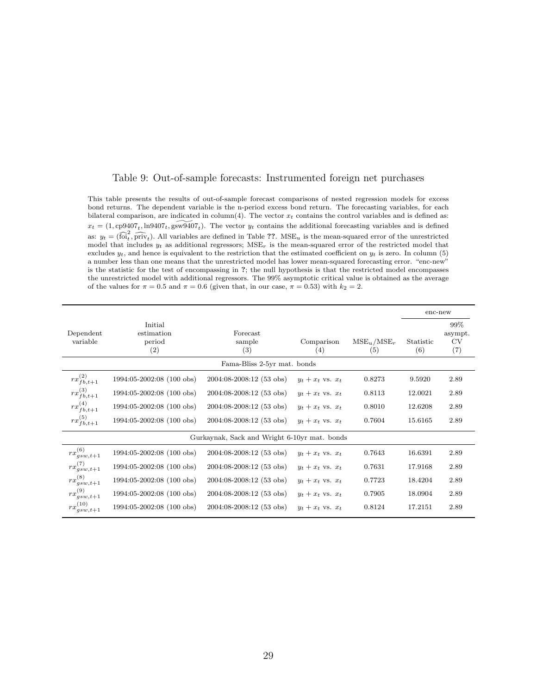#### Table 9: Out-of-sample forecasts: Instrumented foreign net purchases

This table presents the results of out-of-sample forecast comparisons of nested regression models for excess bond returns. The dependent variable is the n-period excess bond return. The forecasting variables, for each bilateral comparison, are indicated in column(4). The vector  $x_t$  contains the control variables and is defined as:  $x_t = (1, \text{cp}9407_t, \text{ln}9407_t, \text{gsw}9407_t)$ . The vector  $y_t$  contains the additional forecasting variables and is defined as:  $y_t = (\widehat{\text{foi}}_t^2, \widehat{\text{priv}}_t)$ . All variables are defined in Table ??. MSE<sub>u</sub> is the mean-squared error of the unrestricted model that includes  $y_t$  as additional regressors; MSE<sub>r</sub> is the mean-squared error of the restricted model that excludes  $y_t$ , and hence is equivalent to the restriction that the estimated coefficient on  $y_t$  is zero. In column (5) a number less than one means that the unrestricted model has lower mean-squared forecasting error. "enc-new" is the statistic for the test of encompassing in ?; the null hypothesis is that the restricted model encompasses the unrestricted model with additional regressors. The 99% asymptotic critical value is obtained as the average of the values for  $\pi = 0.5$  and  $\pi = 0.6$  (given that, in our case,  $\pi = 0.53$ ) with  $k_2 = 2$ .

|                                  |                                        |                                              |                       |                  | enc-new                     |      |  |  |  |  |  |
|----------------------------------|----------------------------------------|----------------------------------------------|-----------------------|------------------|-----------------------------|------|--|--|--|--|--|
| Dependent<br>variable            | Initial<br>estimation<br>period<br>(2) | Comparison<br>(4)                            | $MSE_u/MSE_r$<br>(5)  | Statistic<br>(6) | 99%<br>asympt.<br>CV<br>(7) |      |  |  |  |  |  |
| Fama-Bliss 2-5yr mat. bonds      |                                        |                                              |                       |                  |                             |      |  |  |  |  |  |
| $rx_{fb,t+1}^{\left( 2\right) }$ | 1994:05-2002:08 (100 obs)              | 2004:08-2008:12 (53 obs)                     | $y_t + x_t$ vs. $x_t$ | 0.8273           | 9.5920                      | 2.89 |  |  |  |  |  |
| $rx_{fb,t+1}^{(3)}$              | 1994:05-2002:08 (100 obs)              | 2004:08-2008:12 (53 obs)                     | $y_t + x_t$ vs. $x_t$ | 0.8113           | 12.0021                     | 2.89 |  |  |  |  |  |
| $rx_{fb,t+1}^{(4)}$              | 1994:05-2002:08 (100 obs)              | 2004:08-2008:12 (53 obs)                     | $y_t + x_t$ vs. $x_t$ | 0.8010           | 12.6208                     | 2.89 |  |  |  |  |  |
| $rx_{fb,t+1}^{(5)}$              | 1994:05-2002:08 (100 obs)              | 2004:08-2008:12 (53 obs)                     | $y_t + x_t$ vs. $x_t$ | 0.7604           | 15.6165                     | 2.89 |  |  |  |  |  |
|                                  |                                        | Gurkaynak, Sack and Wright 6-10yr mat. bonds |                       |                  |                             |      |  |  |  |  |  |
| $rx_{gsw,t+1}^{(6)}$             | 1994:05-2002:08 (100 obs)              | 2004:08-2008:12 (53 obs)                     | $y_t + x_t$ vs. $x_t$ | 0.7643           | 16.6391                     | 2.89 |  |  |  |  |  |
| $rx_{gsw,t+1}^{(7)}$             | 1994:05-2002:08 (100 obs)              | 2004:08-2008:12 (53 obs)                     | $y_t + x_t$ vs. $x_t$ | 0.7631           | 17.9168                     | 2.89 |  |  |  |  |  |
| $rx^{(8)}$<br>$qsw,t+1$          | 1994:05-2002:08 (100 obs)              | 2004:08-2008:12 (53 obs)                     | $y_t + x_t$ vs. $x_t$ | 0.7723           | 18.4204                     | 2.89 |  |  |  |  |  |
| $rx_{gsw,t+1}^{(9)}$             | 1994:05-2002:08 (100 obs)              | 2004:08-2008:12 (53 obs)                     | $y_t + x_t$ vs. $x_t$ | 0.7905           | 18.0904                     | 2.89 |  |  |  |  |  |
| $rx_{gsw,t+1}^{(10)}$            | 1994:05-2002:08 (100 obs)              | 2004:08-2008:12 (53 obs)                     | $y_t + x_t$ vs. $x_t$ | 0.8124           | 17.2151                     | 2.89 |  |  |  |  |  |